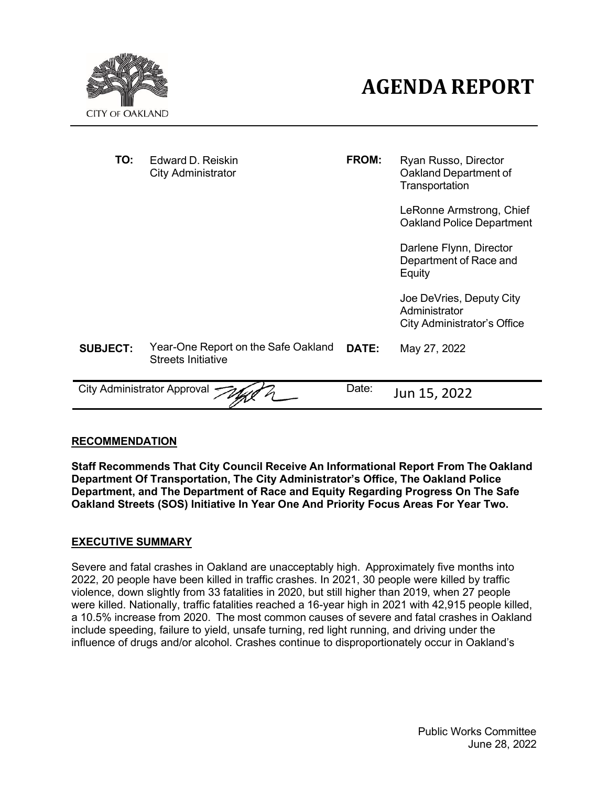



| TO:             | Edward D. Reiskin<br>City Administrator                          | FROM: | Ryan Russo, Director<br>Oakland Department of<br>Transportation                 |
|-----------------|------------------------------------------------------------------|-------|---------------------------------------------------------------------------------|
|                 |                                                                  |       | LeRonne Armstrong, Chief<br><b>Oakland Police Department</b>                    |
|                 |                                                                  |       | Darlene Flynn, Director<br>Department of Race and<br>Equity                     |
|                 |                                                                  |       | Joe DeVries, Deputy City<br>Administrator<br><b>City Administrator's Office</b> |
| <b>SUBJECT:</b> | Year-One Report on the Safe Oakland<br><b>Streets Initiative</b> | DATE: | May 27, 2022                                                                    |
|                 | City Administrator Approval $\prec$                              | Date: | Jun 15, 2022                                                                    |

## **RECOMMENDATION**

**Staff Recommends That City Council Receive An Informational Report From The Oakland Department Of Transportation, The City Administrator's Office, The Oakland Police Department, and The Department of Race and Equity Regarding Progress On The Safe Oakland Streets (SOS) Initiative In Year One And Priority Focus Areas For Year Two.**

#### **EXECUTIVE SUMMARY**

Severe and fatal crashes in Oakland are unacceptably high. Approximately five months into 2022, 20 people have been killed in traffic crashes. In 2021, 30 people were killed by traffic violence, down slightly from 33 fatalities in 2020, but still higher than 2019, when 27 people were killed. Nationally, traffic fatalities reached a 16-year high in 2021 with 42,915 people killed, a 10.5% increase from 2020. The most common causes of severe and fatal crashes in Oakland include speeding, failure to yield, unsafe turning, red light running, and driving under the influence of drugs and/or alcohol. Crashes continue to disproportionately occur in Oakland's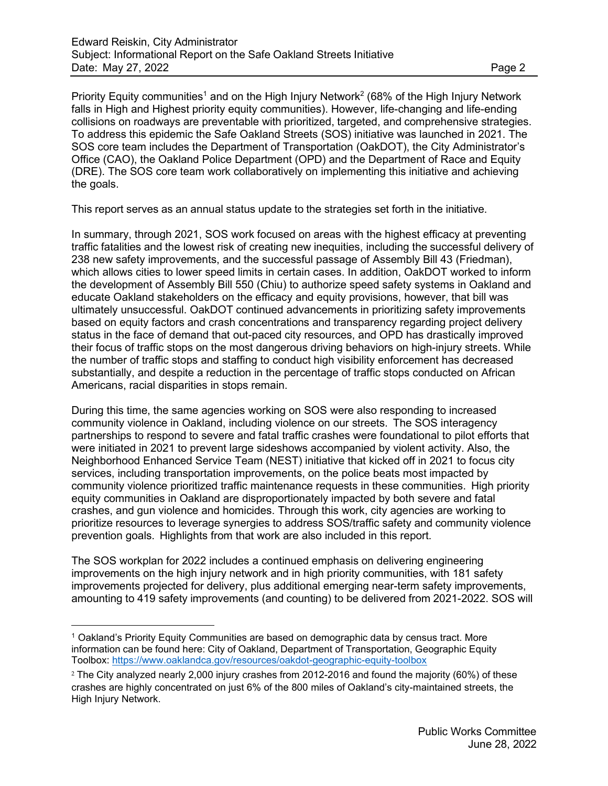Priority Equity communities<sup>1</sup> and on the High Injury Network<sup>2</sup> (68% of the High Injury Network falls in High and Highest priority equity communities). However, life-changing and life-ending collisions on roadways are preventable with prioritized, targeted, and comprehensive strategies. To address this epidemic the Safe Oakland Streets (SOS) initiative was launched in 2021. The SOS core team includes the Department of Transportation (OakDOT), the City Administrator's Office (CAO), the Oakland Police Department (OPD) and the Department of Race and Equity (DRE). The SOS core team work collaboratively on implementing this initiative and achieving the goals.

This report serves as an annual status update to the strategies set forth in the initiative.

In summary, through 2021, SOS work focused on areas with the highest efficacy at preventing traffic fatalities and the lowest risk of creating new inequities, including the successful delivery of 238 new safety improvements, and the successful passage of Assembly Bill 43 (Friedman), which allows cities to lower speed limits in certain cases. In addition, OakDOT worked to inform the development of Assembly Bill 550 (Chiu) to authorize speed safety systems in Oakland and educate Oakland stakeholders on the efficacy and equity provisions, however, that bill was ultimately unsuccessful. OakDOT continued advancements in prioritizing safety improvements based on equity factors and crash concentrations and transparency regarding project delivery status in the face of demand that out-paced city resources, and OPD has drastically improved their focus of traffic stops on the most dangerous driving behaviors on high-injury streets. While the number of traffic stops and staffing to conduct high visibility enforcement has decreased substantially, and despite a reduction in the percentage of traffic stops conducted on African Americans, racial disparities in stops remain.

During this time, the same agencies working on SOS were also responding to increased community violence in Oakland, including violence on our streets. The SOS interagency partnerships to respond to severe and fatal traffic crashes were foundational to pilot efforts that were initiated in 2021 to prevent large sideshows accompanied by violent activity. Also, the Neighborhood Enhanced Service Team (NEST) initiative that kicked off in 2021 to focus city services, including transportation improvements, on the police beats most impacted by community violence prioritized traffic maintenance requests in these communities. High priority equity communities in Oakland are disproportionately impacted by both severe and fatal crashes, and gun violence and homicides. Through this work, city agencies are working to prioritize resources to leverage synergies to address SOS/traffic safety and community violence prevention goals. Highlights from that work are also included in this report.

The SOS workplan for 2022 includes a continued emphasis on delivering engineering improvements on the high injury network and in high priority communities, with 181 safety improvements projected for delivery, plus additional emerging near-term safety improvements, amounting to 419 safety improvements (and counting) to be delivered from 2021-2022. SOS will

<sup>1</sup> Oakland's Priority Equity Communities are based on demographic data by census tract. More information can be found here: City of Oakland, Department of Transportation, Geographic Equity Toolbox:<https://www.oaklandca.gov/resources/oakdot-geographic-equity-toolbox>

<sup>2</sup> The City analyzed nearly 2,000 injury crashes from 2012-2016 and found the majority (60%) of these crashes are highly concentrated on just 6% of the 800 miles of Oakland's city-maintained streets, the High Injury Network.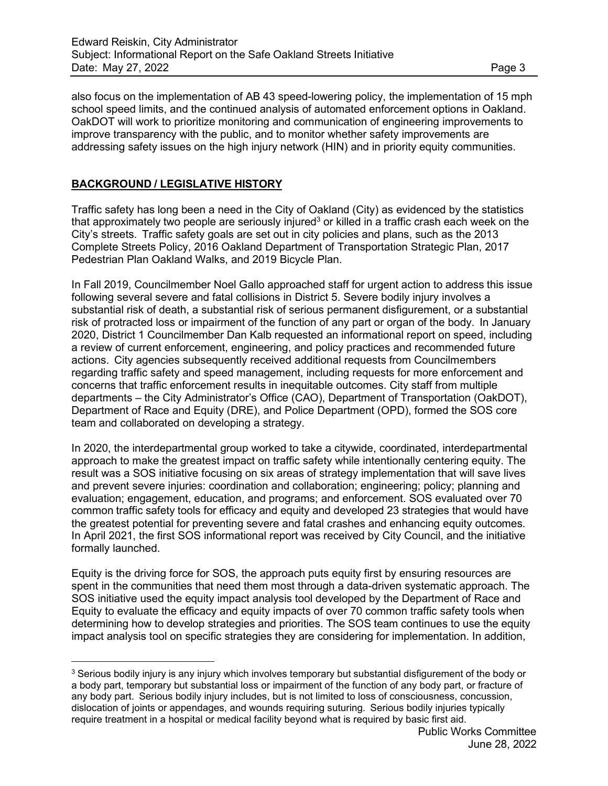also focus on the implementation of AB 43 speed-lowering policy, the implementation of 15 mph school speed limits, and the continued analysis of automated enforcement options in Oakland. OakDOT will work to prioritize monitoring and communication of engineering improvements to improve transparency with the public, and to monitor whether safety improvements are addressing safety issues on the high injury network (HIN) and in priority equity communities.

## **BACKGROUND / LEGISLATIVE HISTORY**

Traffic safety has long been a need in the City of Oakland (City) as evidenced by the statistics that approximately two people are seriously injured<sup>3</sup> or killed in a traffic crash each week on the City's streets. Traffic safety goals are set out in city policies and plans, such as the 2013 Complete Streets Policy, 2016 Oakland Department of Transportation Strategic Plan, 2017 Pedestrian Plan Oakland Walks, and 2019 Bicycle Plan.

In Fall 2019, Councilmember Noel Gallo approached staff for urgent action to address this issue following several severe and fatal collisions in District 5. Severe bodily injury involves a substantial risk of death, a substantial risk of serious permanent disfigurement, or a substantial risk of protracted loss or impairment of the function of any part or organ of the body. In January 2020, District 1 Councilmember Dan Kalb requested an informational report on speed, including a review of current enforcement, engineering, and policy practices and recommended future actions. City agencies subsequently received additional requests from Councilmembers regarding traffic safety and speed management, including requests for more enforcement and concerns that traffic enforcement results in inequitable outcomes. City staff from multiple departments – the City Administrator's Office (CAO), Department of Transportation (OakDOT), Department of Race and Equity (DRE), and Police Department (OPD), formed the SOS core team and collaborated on developing a strategy.

In 2020, the interdepartmental group worked to take a citywide, coordinated, interdepartmental approach to make the greatest impact on traffic safety while intentionally centering equity. The result was a SOS initiative focusing on six areas of strategy implementation that will save lives and prevent severe injuries: coordination and collaboration; engineering; policy; planning and evaluation; engagement, education, and programs; and enforcement. SOS evaluated over 70 common traffic safety tools for efficacy and equity and developed 23 strategies that would have the greatest potential for preventing severe and fatal crashes and enhancing equity outcomes. In April 2021, the first SOS informational report was received by City Council, and the initiative formally launched.

Equity is the driving force for SOS, the approach puts equity first by ensuring resources are spent in the communities that need them most through a data-driven systematic approach. The SOS initiative used the equity impact analysis tool developed by the Department of Race and Equity to evaluate the efficacy and equity impacts of over 70 common traffic safety tools when determining how to develop strategies and priorities. The SOS team continues to use the equity impact analysis tool on specific strategies they are considering for implementation. In addition,

<sup>&</sup>lt;sup>3</sup> Serious bodily injury is any injury which involves temporary but substantial disfigurement of the body or a body part, temporary but substantial loss or impairment of the function of any body part, or fracture of any body part. Serious bodily injury includes, but is not limited to loss of consciousness, concussion, dislocation of joints or appendages, and wounds requiring suturing. Serious bodily injuries typically require treatment in a hospital or medical facility beyond what is required by basic first aid.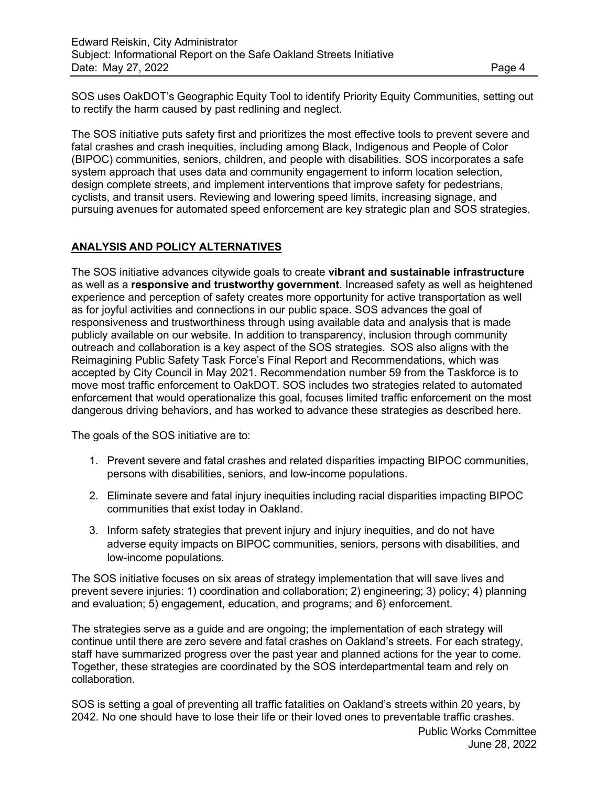SOS uses OakDOT's Geographic Equity Tool to identify Priority Equity Communities, setting out to rectify the harm caused by past redlining and neglect.

The SOS initiative puts safety first and prioritizes the most effective tools to prevent severe and fatal crashes and crash inequities, including among Black, Indigenous and People of Color (BIPOC) communities, seniors, children, and people with disabilities. SOS incorporates a safe system approach that uses data and community engagement to inform location selection, design complete streets, and implement interventions that improve safety for pedestrians, cyclists, and transit users. Reviewing and lowering speed limits, increasing signage, and pursuing avenues for automated speed enforcement are key strategic plan and SOS strategies.

## **ANALYSIS AND POLICY ALTERNATIVES**

The SOS initiative advances citywide goals to create **vibrant and sustainable infrastructure**  as well as a **responsive and trustworthy government**. Increased safety as well as heightened experience and perception of safety creates more opportunity for active transportation as well as for joyful activities and connections in our public space. SOS advances the goal of responsiveness and trustworthiness through using available data and analysis that is made publicly available on our website. In addition to transparency, inclusion through community outreach and collaboration is a key aspect of the SOS strategies. SOS also aligns with the Reimagining Public Safety Task Force's Final Report and Recommendations, which was accepted by City Council in May 2021. Recommendation number 59 from the Taskforce is to move most traffic enforcement to OakDOT. SOS includes two strategies related to automated enforcement that would operationalize this goal, focuses limited traffic enforcement on the most dangerous driving behaviors, and has worked to advance these strategies as described here.

The goals of the SOS initiative are to:

- 1. Prevent severe and fatal crashes and related disparities impacting BIPOC communities, persons with disabilities, seniors, and low-income populations.
- 2. Eliminate severe and fatal injury inequities including racial disparities impacting BIPOC communities that exist today in Oakland.
- 3. Inform safety strategies that prevent injury and injury inequities, and do not have adverse equity impacts on BIPOC communities, seniors, persons with disabilities, and low-income populations.

The SOS initiative focuses on six areas of strategy implementation that will save lives and prevent severe injuries: 1) coordination and collaboration; 2) engineering; 3) policy; 4) planning and evaluation; 5) engagement, education, and programs; and 6) enforcement.

The strategies serve as a guide and are ongoing; the implementation of each strategy will continue until there are zero severe and fatal crashes on Oakland's streets. For each strategy, staff have summarized progress over the past year and planned actions for the year to come. Together, these strategies are coordinated by the SOS interdepartmental team and rely on collaboration.

SOS is setting a goal of preventing all traffic fatalities on Oakland's streets within 20 years, by 2042. No one should have to lose their life or their loved ones to preventable traffic crashes.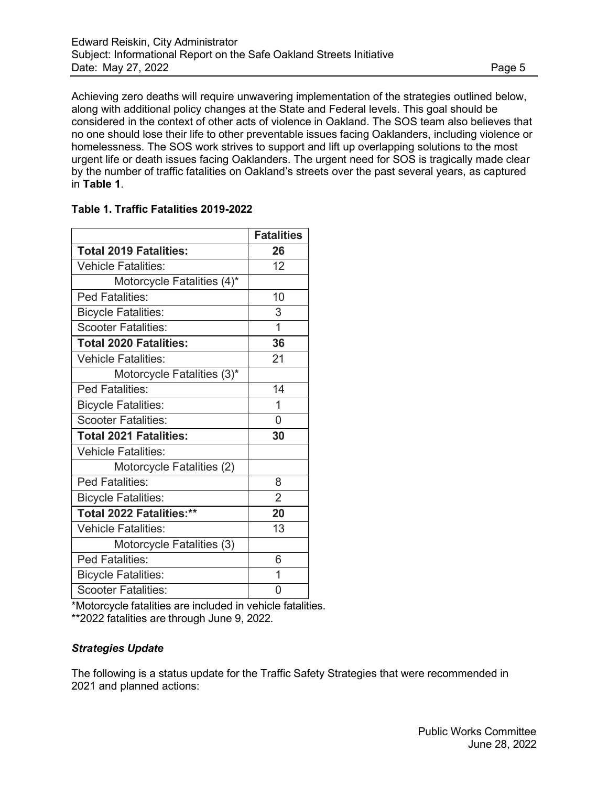Achieving zero deaths will require unwavering implementation of the strategies outlined below, along with additional policy changes at the State and Federal levels. This goal should be considered in the context of other acts of violence in Oakland. The SOS team also believes that no one should lose their life to other preventable issues facing Oaklanders, including violence or homelessness. The SOS work strives to support and lift up overlapping solutions to the most urgent life or death issues facing Oaklanders. The urgent need for SOS is tragically made clear by the number of traffic fatalities on Oakland's streets over the past several years, as captured in **Table 1**.

|                               | <b>Fatalities</b> |
|-------------------------------|-------------------|
| <b>Total 2019 Fatalities:</b> | 26                |
| <b>Vehicle Fatalities:</b>    | 12                |
| Motorcycle Fatalities (4)*    |                   |
| Ped Fatalities:               | 10                |
| <b>Bicycle Fatalities:</b>    | 3                 |
| <b>Scooter Fatalities:</b>    | $\overline{1}$    |
| <b>Total 2020 Fatalities:</b> | 36                |
| <b>Vehicle Fatalities:</b>    | 21                |
| Motorcycle Fatalities (3)*    |                   |
| Ped Fatalities:               | 14                |
| <b>Bicycle Fatalities:</b>    | 1                 |
| <b>Scooter Fatalities:</b>    | 0                 |
| <b>Total 2021 Fatalities:</b> | 30                |
| <b>Vehicle Fatalities:</b>    |                   |
| Motorcycle Fatalities (2)     |                   |
| Ped Fatalities:               | 8                 |
| <b>Bicycle Fatalities:</b>    | $\overline{2}$    |
| Total 2022 Fatalities:**      | 20                |
| <b>Vehicle Fatalities:</b>    | 13                |
| Motorcycle Fatalities (3)     |                   |
| <b>Ped Fatalities:</b>        | 6                 |
| <b>Bicycle Fatalities:</b>    | 1                 |
| <b>Scooter Fatalities:</b>    | ი                 |

\*Motorcycle fatalities are included in vehicle fatalities. \*\*2022 fatalities are through June 9, 2022.

# *Strategies Update*

The following is a status update for the Traffic Safety Strategies that were recommended in 2021 and planned actions: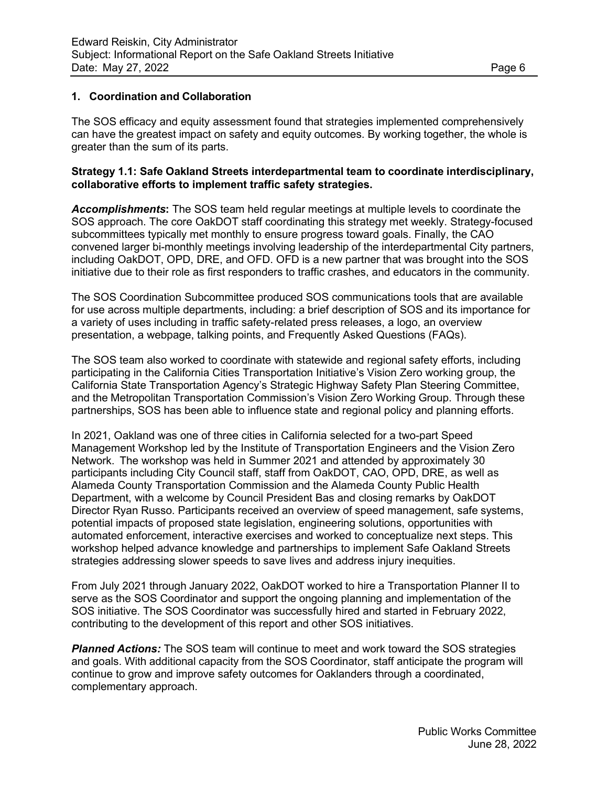## **1. Coordination and Collaboration**

The SOS efficacy and equity assessment found that strategies implemented comprehensively can have the greatest impact on safety and equity outcomes. By working together, the whole is greater than the sum of its parts.

## **Strategy 1.1: Safe Oakland Streets interdepartmental team to coordinate interdisciplinary, collaborative efforts to implement traffic safety strategies.**

*Accomplishments***:** The SOS team held regular meetings at multiple levels to coordinate the SOS approach. The core OakDOT staff coordinating this strategy met weekly. Strategy-focused subcommittees typically met monthly to ensure progress toward goals. Finally, the CAO convened larger bi-monthly meetings involving leadership of the interdepartmental City partners, including OakDOT, OPD, DRE, and OFD. OFD is a new partner that was brought into the SOS initiative due to their role as first responders to traffic crashes, and educators in the community.

The SOS Coordination Subcommittee produced SOS communications tools that are available for use across multiple departments, including: a brief description of SOS and its importance for a variety of uses including in traffic safety-related press releases, a logo, an overview presentation, a webpage, talking points, and Frequently Asked Questions (FAQs).

The SOS team also worked to coordinate with statewide and regional safety efforts, including participating in the California Cities Transportation Initiative's Vision Zero working group, the California State Transportation Agency's Strategic Highway Safety Plan Steering Committee, and the Metropolitan Transportation Commission's Vision Zero Working Group. Through these partnerships, SOS has been able to influence state and regional policy and planning efforts.

In 2021, Oakland was [one of three cities in California selected f](https://visionzeronetwork.org/speed-management-workshops-planned-in-california/)or a two-part Speed Management Workshop led by the Institute of Transportation Engineers and the Vision Zero Network. The workshop was held in Summer 2021 and attended by approximately 30 participants including City Council staff, staff from OakDOT, CAO, OPD, DRE, as well as Alameda County Transportation Commission and the Alameda County Public Health Department, with a welcome by Council President Bas and closing remarks by OakDOT Director Ryan Russo. Participants received an overview of speed management, safe systems, potential impacts of proposed state legislation, engineering solutions, opportunities with automated enforcement, interactive exercises and worked to conceptualize next steps. This workshop helped advance knowledge and partnerships to implement [Safe Oakland Streets](https://www.oaklandca.gov/topics/safe-oakland-streets) strategies addressing slower speeds to save lives and address injury inequities.

From July 2021 through January 2022, OakDOT worked to hire a Transportation Planner II to serve as the SOS Coordinator and support the ongoing planning and implementation of the SOS initiative. The SOS Coordinator was successfully hired and started in February 2022, contributing to the development of this report and other SOS initiatives.

**Planned Actions:** The SOS team will continue to meet and work toward the SOS strategies and goals. With additional capacity from the SOS Coordinator, staff anticipate the program will continue to grow and improve safety outcomes for Oaklanders through a coordinated, complementary approach.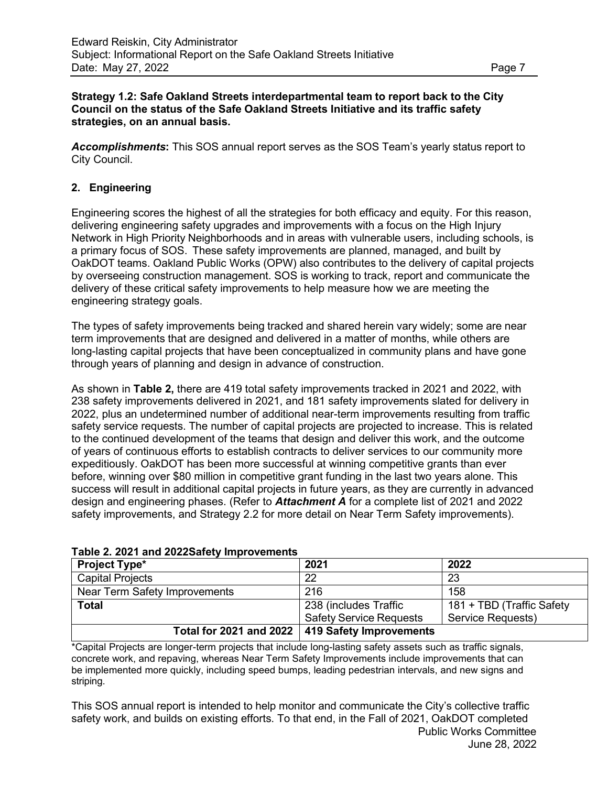## **Strategy 1.2: Safe Oakland Streets interdepartmental team to report back to the City Council on the status of the Safe Oakland Streets Initiative and its traffic safety strategies, on an annual basis.**

*Accomplishments***:** This SOS annual report serves as the SOS Team's yearly status report to City Council.

## **2. Engineering**

Engineering scores the highest of all the strategies for both efficacy and equity. For this reason, delivering engineering safety upgrades and improvements with a focus on the High Injury Network in High Priority Neighborhoods and in areas with vulnerable users, including schools, is a primary focus of SOS. These safety improvements are planned, managed, and built by OakDOT teams. Oakland Public Works (OPW) also contributes to the delivery of capital projects by overseeing construction management. SOS is working to track, report and communicate the delivery of these critical safety improvements to help measure how we are meeting the engineering strategy goals.

The types of safety improvements being tracked and shared herein vary widely; some are near term improvements that are designed and delivered in a matter of months, while others are long-lasting capital projects that have been conceptualized in community plans and have gone through years of planning and design in advance of construction.

As shown in **Table 2,** there are 419 total safety improvements tracked in 2021 and 2022, with 238 safety improvements delivered in 2021, and 181 safety improvements slated for delivery in 2022, plus an undetermined number of additional near-term improvements resulting from traffic safety service requests. The number of capital projects are projected to increase. This is related to the continued development of the teams that design and deliver this work, and the outcome of years of continuous efforts to establish contracts to deliver services to our community more expeditiously. OakDOT has been more successful at winning competitive grants than ever before, winning over \$80 million in competitive grant funding in the last two years alone. This success will result in additional capital projects in future years, as they are currently in advanced design and engineering phases. (Refer to *Attachment A* for a complete list of 2021 and 2022 safety improvements, and Strategy 2.2 for more detail on Near Term Safety improvements).

| <b>Project Type*</b>                              | 2021                           | 2022                      |
|---------------------------------------------------|--------------------------------|---------------------------|
| <b>Capital Projects</b>                           | 22                             | 23                        |
| Near Term Safety Improvements                     | 216                            | 158                       |
| <b>Total</b>                                      | 238 (includes Traffic          | 181 + TBD (Traffic Safety |
|                                                   | <b>Safety Service Requests</b> | Service Requests)         |
| Total for 2021 and 2022   419 Safety Improvements |                                |                           |

**Table 2. 2021 and 2022Safety Improvements**

\*Capital Projects are longer-term projects that include long-lasting safety assets such as traffic signals, concrete work, and repaving, whereas Near Term Safety Improvements include improvements that can be implemented more quickly, including speed bumps, leading pedestrian intervals, and new signs and striping.

Public Works Committee June 28, 2022 This SOS annual report is intended to help monitor and communicate the City's collective traffic safety work, and builds on existing efforts. To that end, in the Fall of 2021, OakDOT completed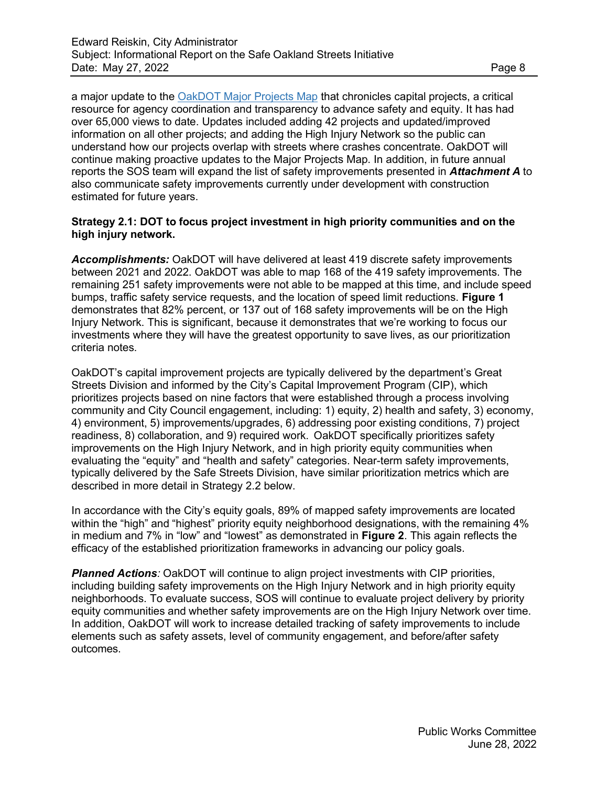a major update to the [OakDOT Major Projects Map](https://oakgis.maps.arcgis.com/home/webmap/viewer.html?webmap=d17d586b9a5a4c529d3951a5d239e47f) that chronicles capital projects, a critical resource for agency coordination and transparency to advance safety and equity. It has had over 65,000 views to date. Updates included adding 42 projects and updated/improved information on all other projects; and adding the High Injury Network so the public can understand how our projects overlap with streets where crashes concentrate. OakDOT will continue making proactive updates to the Major Projects Map. In addition, in future annual reports the SOS team will expand the list of safety improvements presented in *Attachment A* to also communicate safety improvements currently under development with construction estimated for future years.

## **Strategy 2.1: DOT to focus project investment in high priority communities and on the high injury network.**

*Accomplishments:* OakDOT will have delivered at least 419 discrete safety improvements between 2021 and 2022. OakDOT was able to map 168 of the 419 safety improvements. The remaining 251 safety improvements were not able to be mapped at this time, and include speed bumps, traffic safety service requests, and the location of speed limit reductions. **Figure 1**  demonstrates that 82% percent, or 137 out of 168 safety improvements will be on the High Injury Network. This is significant, because it demonstrates that we're working to focus our investments where they will have the greatest opportunity to save lives, as our prioritization criteria notes.

OakDOT's capital improvement projects are typically delivered by the department's Great Streets Division and informed by the City's Capital Improvement Program (CIP), which prioritizes projects based on nine factors that were established through a process involving community and City Council engagement, including: 1) equity, 2) health and safety, 3) economy, 4) environment, 5) improvements/upgrades, 6) addressing poor existing conditions, 7) project readiness, 8) collaboration, and 9) required work. OakDOT specifically prioritizes safety improvements on the High Injury Network, and in high priority equity communities when evaluating the "equity" and "health and safety" categories. Near-term safety improvements, typically delivered by the Safe Streets Division, have similar prioritization metrics which are described in more detail in Strategy 2.2 below.

In accordance with the City's equity goals, 89% of mapped safety improvements are located within the "high" and "highest" priority equity neighborhood designations, with the remaining 4% in medium and 7% in "low" and "lowest" as demonstrated in **Figure 2**. This again reflects the efficacy of the established prioritization frameworks in advancing our policy goals.

*Planned Actions:* OakDOT will continue to align project investments with CIP priorities, including building safety improvements on the High Injury Network and in high priority equity neighborhoods. To evaluate success, SOS will continue to evaluate project delivery by priority equity communities and whether safety improvements are on the High Injury Network over time. In addition, OakDOT will work to increase detailed tracking of safety improvements to include elements such as safety assets, level of community engagement, and before/after safety outcomes.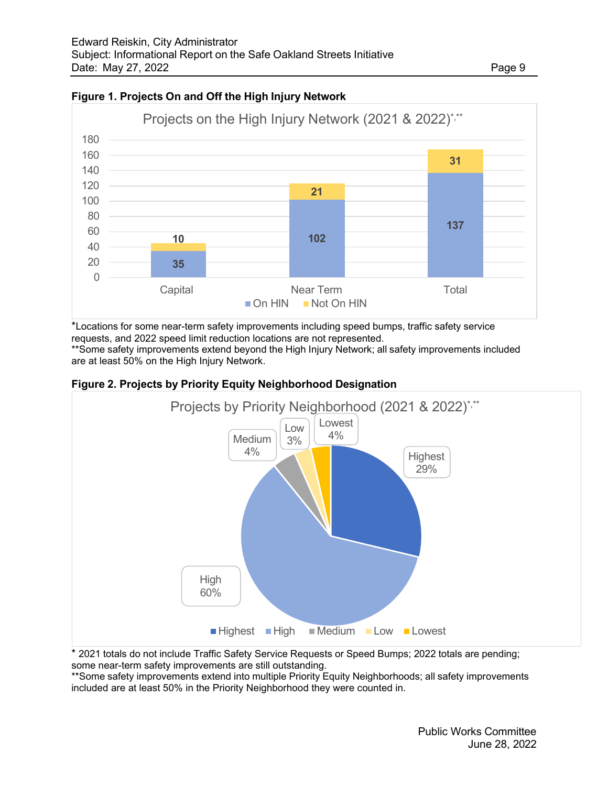

## **Figure 1. Projects On and Off the High Injury Network**

\*Locations for some near-term safety improvements including speed bumps, traffic safety service requests, and 2022 speed limit reduction locations are not represented.

\*\*Some safety improvements extend beyond the High Injury Network; all safety improvements included are at least 50% on the High Injury Network.



#### **Figure 2. Projects by Priority Equity Neighborhood Designation**

\* 2021 totals do not include Traffic Safety Service Requests or Speed Bumps; 2022 totals are pending; some near-term safety improvements are still outstanding.

\*\*Some safety improvements extend into multiple Priority Equity Neighborhoods; all safety improvements included are at least 50% in the Priority Neighborhood they were counted in.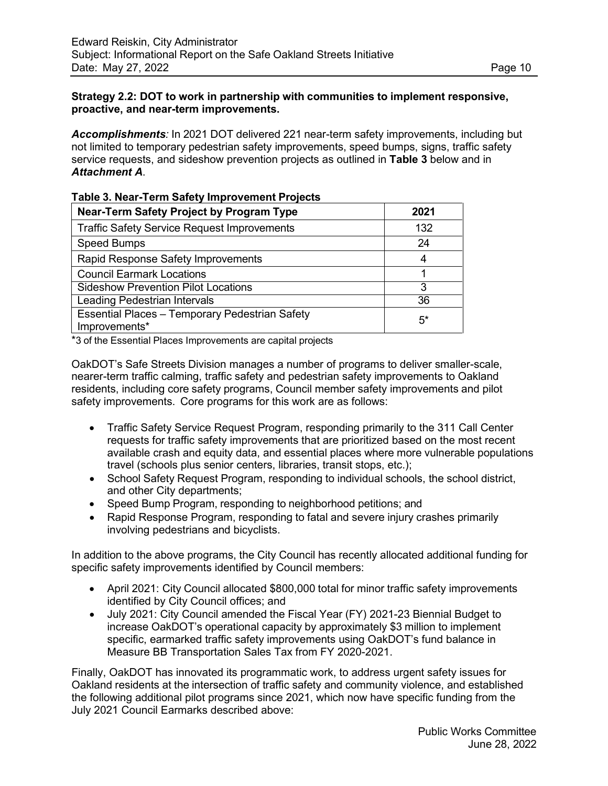## **Strategy 2.2: DOT to work in partnership with communities to implement responsive, proactive, and near-term improvements.**

*Accomplishments:* In 2021 DOT delivered 221 near-term safety improvements, including but not limited to temporary pedestrian safety improvements, speed bumps, signs, traffic safety service requests, and sideshow prevention projects as outlined in **Table 3** below and in *Attachment A*.

| <b>Near-Term Safety Project by Program Type</b>                 | 2021  |  |
|-----------------------------------------------------------------|-------|--|
| <b>Traffic Safety Service Request Improvements</b>              | 132   |  |
| <b>Speed Bumps</b>                                              | 24    |  |
| Rapid Response Safety Improvements                              |       |  |
| <b>Council Earmark Locations</b>                                |       |  |
| <b>Sideshow Prevention Pilot Locations</b>                      | З     |  |
| Leading Pedestrian Intervals                                    | 36    |  |
| Essential Places - Temporary Pedestrian Safety<br>Improvements* | $5^*$ |  |

**Table 3. Near-Term Safety Improvement Projects**

\*3 of the Essential Places Improvements are capital projects

OakDOT's Safe Streets Division manages a number of programs to deliver smaller-scale, nearer-term traffic calming, traffic safety and pedestrian safety improvements to Oakland residents, including core safety programs, Council member safety improvements and pilot safety improvements. Core programs for this work are as follows:

- Traffic Safety Service Request Program, responding primarily to the 311 Call Center requests for traffic safety improvements that are prioritized based on the most recent available crash and equity data, and essential places where more vulnerable populations travel (schools plus senior centers, libraries, transit stops, etc.);
- School Safety Request Program, responding to individual schools, the school district, and other City departments;
- Speed Bump Program, responding to neighborhood petitions; and
- Rapid Response Program, responding to fatal and severe injury crashes primarily involving pedestrians and bicyclists.

In addition to the above programs, the City Council has recently allocated additional funding for specific safety improvements identified by Council members:

- April 2021: City Council allocated \$800,000 total for minor traffic safety improvements identified by City Council offices; and
- July 2021: City Council amended the Fiscal Year (FY) 2021-23 Biennial Budget to increase OakDOT's operational capacity by approximately \$3 million to implement specific, earmarked traffic safety improvements using OakDOT's fund balance in Measure BB Transportation Sales Tax from FY 2020-2021.

Finally, OakDOT has innovated its programmatic work, to address urgent safety issues for Oakland residents at the intersection of traffic safety and community violence, and established the following additional pilot programs since 2021, which now have specific funding from the July 2021 Council Earmarks described above: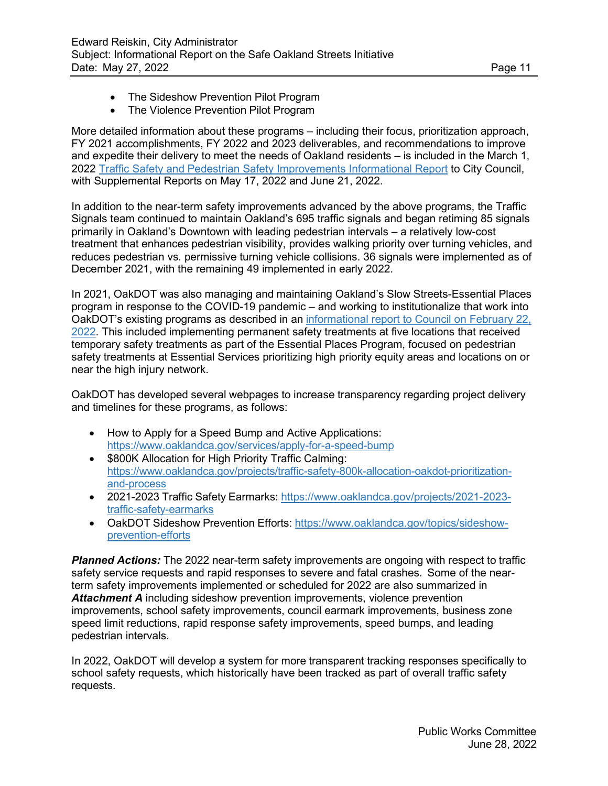- The Sideshow Prevention Pilot Program
- The Violence Prevention Pilot Program

More detailed information about these programs – including their focus, prioritization approach, FY 2021 accomplishments, FY 2022 and 2023 deliverables, and recommendations to improve and expedite their delivery to meet the needs of Oakland residents – is included in the March 1, 2022 [Traffic Safety and Pedestrian Safety Improvements Informational Report](https://oakland.legistar.com/LegislationDetail.aspx?ID=5473308&GUID=8FCB73DF-C113-4819-994B-90CA4ADA7383) to City Council, with Supplemental Reports on May 17, 2022 and June 21, 2022.

In addition to the near-term safety improvements advanced by the above programs, the Traffic Signals team continued to maintain Oakland's 695 traffic signals and began retiming 85 signals primarily in Oakland's Downtown with leading pedestrian intervals – a relatively low-cost treatment that enhances pedestrian visibility, provides walking priority over turning vehicles, and reduces pedestrian vs. permissive turning vehicle collisions. 36 signals were implemented as of December 2021, with the remaining 49 implemented in early 2022.

In 2021, OakDOT was also managing and maintaining Oakland's Slow Streets-Essential Places program in response to the COVID-19 pandemic – and working to institutionalize that work into OakDOT's existing programs as described in an [informational](https://oakland.legistar.com/LegislationDetail.aspx?ID=5436424&GUID=22545182-F8B9-4E3F-A303-0CBC82BBD3A0&Options&Search) report to Council on February 22, [2022.](https://oakland.legistar.com/LegislationDetail.aspx?ID=5436424&GUID=22545182-F8B9-4E3F-A303-0CBC82BBD3A0&Options&Search) This included implementing permanent safety treatments at five locations that received temporary safety treatments as part of the Essential Places Program, focused on pedestrian safety treatments at Essential Services prioritizing high priority equity areas and locations on or near the high injury network.

OakDOT has developed several webpages to increase transparency regarding project delivery and timelines for these programs, as follows:

- How to Apply for a Speed Bump and Active Applications: <https://www.oaklandca.gov/services/apply-for-a-speed-bump>
- \$800K Allocation for High Priority Traffic Calming: [https://www.oaklandca.gov/projects/traffic-safety-800k-allocation-oakdot-prioritization](https://www.oaklandca.gov/projects/traffic-safety-800k-allocation-oakdot-prioritization-and-process)[and-process](https://www.oaklandca.gov/projects/traffic-safety-800k-allocation-oakdot-prioritization-and-process)
- 2021-2023 Traffic Safety Earmarks: [https://www.oaklandca.gov/projects/2021-2023](https://www.oaklandca.gov/projects/2021-2023-traffic-safety-earmarks) [traffic-safety-earmarks](https://www.oaklandca.gov/projects/2021-2023-traffic-safety-earmarks)
- OakDOT Sideshow Prevention Efforts: [https://www.oaklandca.gov/topics/sideshow](https://www.oaklandca.gov/topics/sideshow-prevention-efforts)[prevention-efforts](https://www.oaklandca.gov/topics/sideshow-prevention-efforts)

*Planned Actions:* The 2022 near-term safety improvements are ongoing with respect to traffic safety service requests and rapid responses to severe and fatal crashes. Some of the nearterm safety improvements implemented or scheduled for 2022 are also summarized in *Attachment A* including sideshow prevention improvements, violence prevention improvements, school safety improvements, council earmark improvements, business zone speed limit reductions, rapid response safety improvements, speed bumps, and leading pedestrian intervals.

In 2022, OakDOT will develop a system for more transparent tracking responses specifically to school safety requests, which historically have been tracked as part of overall traffic safety requests.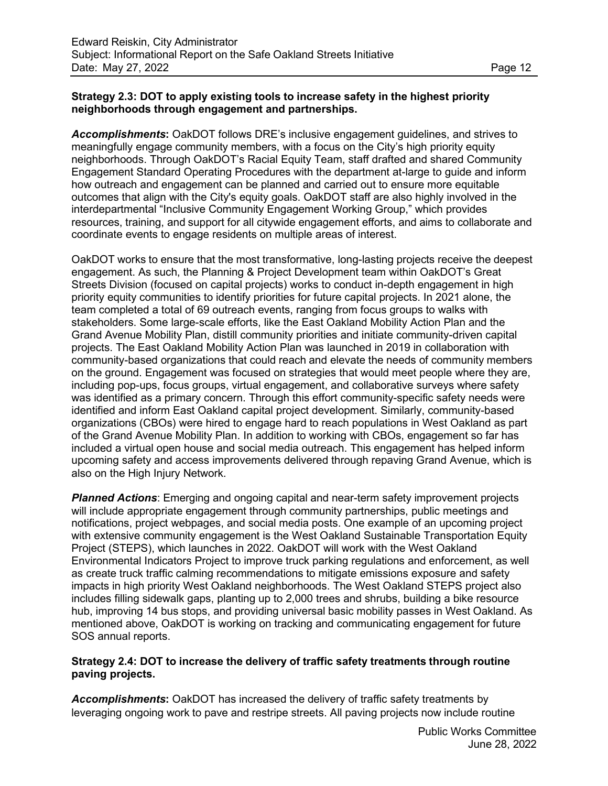## **Strategy 2.3: DOT to apply existing tools to increase safety in the highest priority neighborhoods through engagement and partnerships.**

*Accomplishments***:** OakDOT follows DRE's inclusive engagement guidelines, and strives to meaningfully engage community members, with a focus on the City's high priority equity neighborhoods. Through OakDOT's Racial Equity Team, staff drafted and shared Community Engagement Standard Operating Procedures with the department at-large to guide and inform how outreach and engagement can be planned and carried out to ensure more equitable outcomes that align with the City's equity goals. OakDOT staff are also highly involved in the interdepartmental "Inclusive Community Engagement Working Group," which provides resources, training, and support for all citywide engagement efforts, and aims to collaborate and coordinate events to engage residents on multiple areas of interest.

OakDOT works to ensure that the most transformative, long-lasting projects receive the deepest engagement. As such, the Planning & Project Development team within OakDOT's Great Streets Division (focused on capital projects) works to conduct in-depth engagement in high priority equity communities to identify priorities for future capital projects. In 2021 alone, the team completed a total of 69 outreach events, ranging from focus groups to walks with stakeholders. Some large-scale efforts, like the East Oakland Mobility Action Plan and the Grand Avenue Mobility Plan, distill community priorities and initiate community-driven capital projects. The East Oakland Mobility Action Plan was launched in 2019 in collaboration with community-based organizations that could reach and elevate the needs of community members on the ground. Engagement was focused on strategies that would meet people where they are, including pop-ups, focus groups, virtual engagement, and collaborative surveys where safety was identified as a primary concern. Through this effort community-specific safety needs were identified and inform East Oakland capital project development. Similarly, community-based organizations (CBOs) were hired to engage hard to reach populations in West Oakland as part of the Grand Avenue Mobility Plan. In addition to working with CBOs, engagement so far has included a virtual open house and social media outreach. This engagement has helped inform upcoming safety and access improvements delivered through repaving Grand Avenue, which is also on the High Injury Network.

*Planned Actions*: Emerging and ongoing capital and near-term safety improvement projects will include appropriate engagement through community partnerships, public meetings and notifications, project webpages, and social media posts. One example of an upcoming project with extensive community engagement is the West Oakland Sustainable Transportation Equity Project (STEPS), which launches in 2022. OakDOT will work with the West Oakland Environmental Indicators Project to improve truck parking regulations and enforcement, as well as create truck traffic calming recommendations to mitigate emissions exposure and safety impacts in high priority West Oakland neighborhoods. The West Oakland STEPS project also includes filling sidewalk gaps, planting up to 2,000 trees and shrubs, building a bike resource hub, improving 14 bus stops, and providing universal basic mobility passes in West Oakland. As mentioned above, OakDOT is working on tracking and communicating engagement for future SOS annual reports.

### **Strategy 2.4: DOT to increase the delivery of traffic safety treatments through routine paving projects.**

**Accomplishments:** OakDOT has increased the delivery of traffic safety treatments by leveraging ongoing work to pave and restripe streets. All paving projects now include routine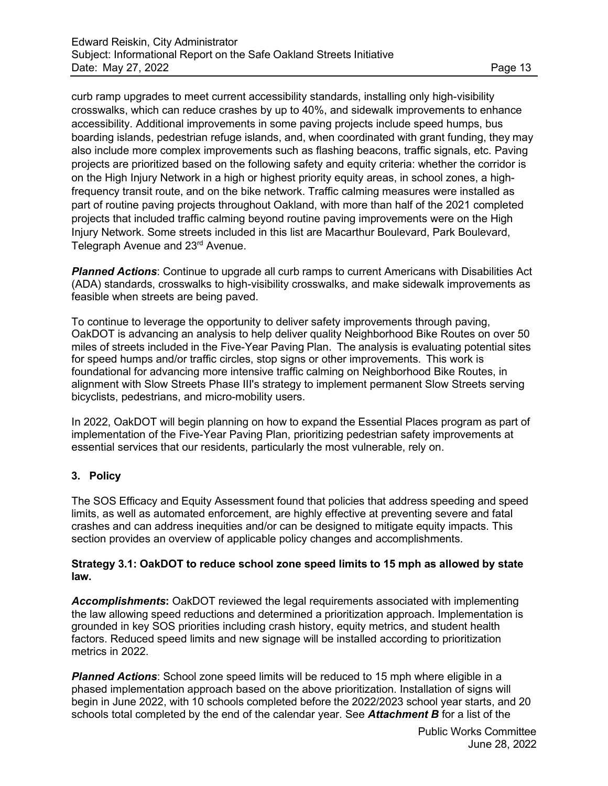curb ramp upgrades to meet current accessibility standards, installing only high-visibility crosswalks, which can reduce crashes by up to 40%, and sidewalk improvements to enhance accessibility. Additional improvements in some paving projects include speed humps, bus boarding islands, pedestrian refuge islands, and, when coordinated with grant funding, they may also include more complex improvements such as flashing beacons, traffic signals, etc. Paving projects are prioritized based on the following safety and equity criteria: whether the corridor is on the High Injury Network in a high or highest priority equity areas, in school zones, a highfrequency transit route, and on the bike network. Traffic calming measures were installed as part of routine paving projects throughout Oakland, with more than half of the 2021 completed projects that included traffic calming beyond routine paving improvements were on the High Injury Network. Some streets included in this list are Macarthur Boulevard, Park Boulevard, Telegraph Avenue and 23<sup>rd</sup> Avenue.

*Planned Actions*: Continue to upgrade all curb ramps to current Americans with Disabilities Act (ADA) standards, crosswalks to high-visibility crosswalks, and make sidewalk improvements as feasible when streets are being paved.

To continue to leverage the opportunity to deliver safety improvements through paving, OakDOT is advancing an analysis to help deliver quality Neighborhood Bike Routes on over 50 miles of streets included in the Five-Year Paving Plan. The analysis is evaluating potential sites for speed humps and/or traffic circles, stop signs or other improvements. This work is foundational for advancing more intensive traffic calming on Neighborhood Bike Routes, in alignment with Slow Streets Phase III's strategy to implement permanent Slow Streets serving bicyclists, pedestrians, and micro-mobility users.

In 2022, OakDOT will begin planning on how to expand the Essential Places program as part of implementation of the Five-Year Paving Plan, prioritizing pedestrian safety improvements at essential services that our residents, particularly the most vulnerable, rely on.

## **3. Policy**

The SOS Efficacy and Equity Assessment found that policies that address speeding and speed limits, as well as automated enforcement, are highly effective at preventing severe and fatal crashes and can address inequities and/or can be designed to mitigate equity impacts. This section provides an overview of applicable policy changes and accomplishments.

#### **Strategy 3.1: OakDOT to reduce school zone speed limits to 15 mph as allowed by state law.**

*Accomplishments***:** OakDOT reviewed the legal requirements associated with implementing the law allowing speed reductions and determined a prioritization approach. Implementation is grounded in key SOS priorities including crash history, equity metrics, and student health factors. Reduced speed limits and new signage will be installed according to prioritization metrics in 2022.

**Planned Actions**: School zone speed limits will be reduced to 15 mph where eligible in a phased implementation approach based on the above prioritization. Installation of signs will begin in June 2022, with 10 schools completed before the 2022/2023 school year starts, and 20 schools total completed by the end of the calendar year. See *Attachment B* for a list of the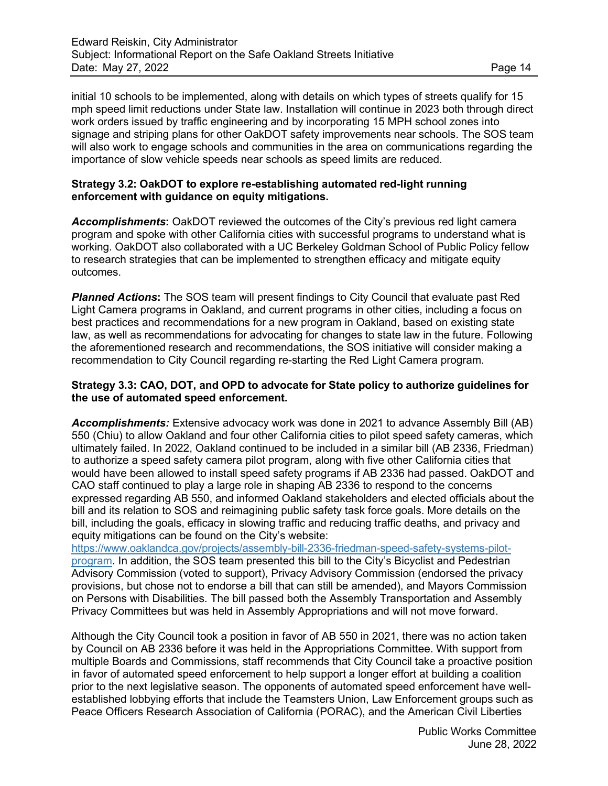initial 10 schools to be implemented, along with details on which types of streets qualify for 15 mph speed limit reductions under State law. Installation will continue in 2023 both through direct work orders issued by traffic engineering and by incorporating 15 MPH school zones into signage and striping plans for other OakDOT safety improvements near schools. The SOS team will also work to engage schools and communities in the area on communications regarding the importance of slow vehicle speeds near schools as speed limits are reduced.

#### **Strategy 3.2: OakDOT to explore re-establishing automated red-light running enforcement with guidance on equity mitigations.**

*Accomplishments***:** OakDOT reviewed the outcomes of the City's previous red light camera program and spoke with other California cities with successful programs to understand what is working. OakDOT also collaborated with a UC Berkeley Goldman School of Public Policy fellow to research strategies that can be implemented to strengthen efficacy and mitigate equity outcomes.

**Planned Actions:** The SOS team will present findings to City Council that evaluate past Red Light Camera programs in Oakland, and current programs in other cities, including a focus on best practices and recommendations for a new program in Oakland, based on existing state law, as well as recommendations for advocating for changes to state law in the future. Following the aforementioned research and recommendations, the SOS initiative will consider making a recommendation to City Council regarding re-starting the Red Light Camera program.

#### **Strategy 3.3: CAO, DOT, and OPD to advocate for State policy to authorize guidelines for the use of automated speed enforcement.**

*Accomplishments:* Extensive advocacy work was done in 2021 to advance Assembly Bill (AB) 550 (Chiu) to allow Oakland and four other California cities to pilot speed safety cameras, which ultimately failed. In 2022, Oakland continued to be included in a similar bill (AB 2336, Friedman) to authorize a speed safety camera pilot program, along with five other California cities that would have been allowed to install speed safety programs if AB 2336 had passed. OakDOT and CAO staff continued to play a large role in shaping AB 2336 to respond to the concerns expressed regarding AB 550, and informed Oakland stakeholders and elected officials about the bill and its relation to SOS and reimagining public safety task force goals. More details on the bill, including the goals, efficacy in slowing traffic and reducing traffic deaths, and privacy and equity mitigations can be found on the City's website:

[https://www.oaklandca.gov/projects/assembly-bill-2336-friedman-speed-safety-systems-pilot](https://www.oaklandca.gov/projects/assembly-bill-2336-friedman-speed-safety-systems-pilot-program)[program.](https://www.oaklandca.gov/projects/assembly-bill-2336-friedman-speed-safety-systems-pilot-program) In addition, the SOS team presented this bill to the City's Bicyclist and Pedestrian Advisory Commission (voted to support), Privacy Advisory Commission (endorsed the privacy provisions, but chose not to endorse a bill that can still be amended), and Mayors Commission on Persons with Disabilities. The bill passed both the Assembly Transportation and Assembly Privacy Committees but was held in Assembly Appropriations and will not move forward.

Although the City Council took a position in favor of AB 550 in 2021, there was no action taken by Council on AB 2336 before it was held in the Appropriations Committee. With support from multiple Boards and Commissions, staff recommends that City Council take a proactive position in favor of automated speed enforcement to help support a longer effort at building a coalition prior to the next legislative season. The opponents of automated speed enforcement have wellestablished lobbying efforts that include the Teamsters Union, Law Enforcement groups such as Peace Officers Research Association of California (PORAC), and the American Civil Liberties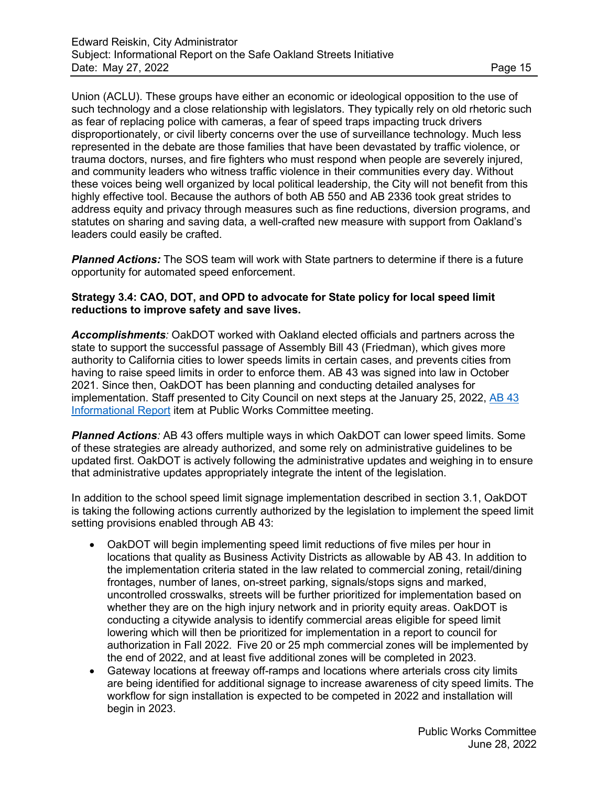Union (ACLU). These groups have either an economic or ideological opposition to the use of such technology and a close relationship with legislators. They typically rely on old rhetoric such as fear of replacing police with cameras, a fear of speed traps impacting truck drivers disproportionately, or civil liberty concerns over the use of surveillance technology. Much less represented in the debate are those families that have been devastated by traffic violence, or trauma doctors, nurses, and fire fighters who must respond when people are severely injured, and community leaders who witness traffic violence in their communities every day. Without these voices being well organized by local political leadership, the City will not benefit from this highly effective tool. Because the authors of both AB 550 and AB 2336 took great strides to address equity and privacy through measures such as fine reductions, diversion programs, and statutes on sharing and saving data, a well-crafted new measure with support from Oakland's leaders could easily be crafted.

*Planned Actions:* The SOS team will work with State partners to determine if there is a future opportunity for automated speed enforcement.

## **Strategy 3.4: CAO, DOT, and OPD to advocate for State policy for local speed limit reductions to improve safety and save lives.**

*Accomplishments:* OakDOT worked with Oakland elected officials and partners across the state to support the successful passage of Assembly Bill 43 (Friedman), which gives more authority to California cities to lower speeds limits in certain cases, and prevents cities from having to raise speed limits in order to enforce them. AB 43 was signed into law in October 2021. Since then, OakDOT has been planning and conducting detailed analyses for implementation. Staff presented to City Council on next steps at the January 25, 2022, AB 43 Informational Report item at Public Works Committee meeting.

*Planned Actions:* AB 43 offers multiple ways in which OakDOT can lower speed limits. Some of these strategies are already authorized, and some rely on administrative guidelines to be updated first. OakDOT is actively following the administrative updates and weighing in to ensure that administrative updates appropriately integrate the intent of the legislation.

In addition to the school speed limit signage implementation described in section 3.1, OakDOT is taking the following actions currently authorized by the legislation to implement the speed limit setting provisions enabled through AB 43:

- OakDOT will begin implementing speed limit reductions of five miles per hour in locations that quality as Business Activity Districts as allowable by AB 43. In addition to the implementation criteria stated in the law related to commercial zoning, retail/dining frontages, number of lanes, on-street parking, signals/stops signs and marked, uncontrolled crosswalks, streets will be further prioritized for implementation based on whether they are on the high injury network and in priority equity areas. OakDOT is conducting a citywide analysis to identify commercial areas eligible for speed limit lowering which will then be prioritized for implementation in a report to council for authorization in Fall 2022. Five 20 or 25 mph commercial zones will be implemented by the end of 2022, and at least five additional zones will be completed in 2023.
- Gateway locations at freeway off-ramps and locations where arterials cross city limits are being identified for additional signage to increase awareness of city speed limits. The workflow for sign installation is expected to be competed in 2022 and installation will begin in 2023.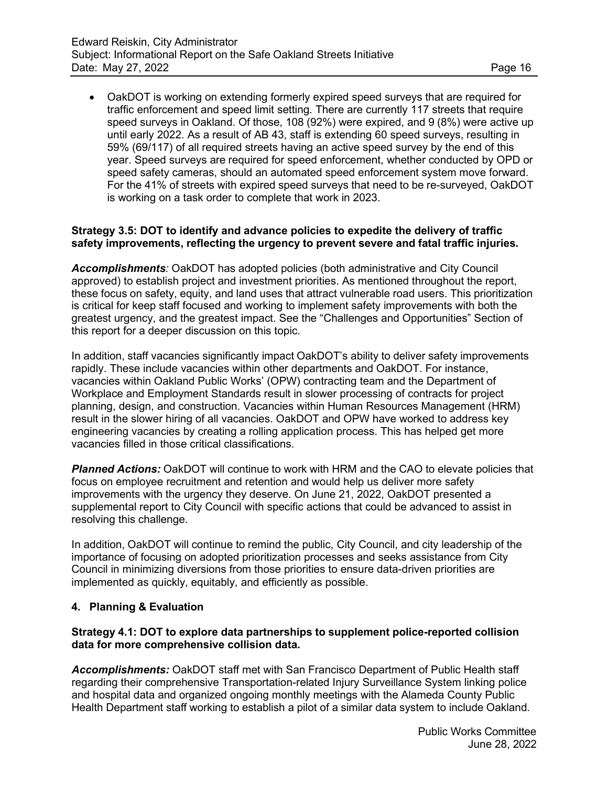• OakDOT is working on extending formerly expired speed surveys that are required for traffic enforcement and speed limit setting. There are currently 117 streets that require speed surveys in Oakland. Of those, 108 (92%) were expired, and 9 (8%) were active up until early 2022. As a result of AB 43, staff is extending 60 speed surveys, resulting in 59% (69/117) of all required streets having an active speed survey by the end of this year. Speed surveys are required for speed enforcement, whether conducted by OPD or speed safety cameras, should an automated speed enforcement system move forward. For the 41% of streets with expired speed surveys that need to be re-surveyed, OakDOT is working on a task order to complete that work in 2023.

#### **Strategy 3.5: DOT to identify and advance policies to expedite the delivery of traffic safety improvements, reflecting the urgency to prevent severe and fatal traffic injuries.**

*Accomplishments:* OakDOT has adopted policies (both administrative and City Council approved) to establish project and investment priorities. As mentioned throughout the report, these focus on safety, equity, and land uses that attract vulnerable road users. This prioritization is critical for keep staff focused and working to implement safety improvements with both the greatest urgency, and the greatest impact. See the "Challenges and Opportunities" Section of this report for a deeper discussion on this topic.

In addition, staff vacancies significantly impact OakDOT's ability to deliver safety improvements rapidly. These include vacancies within other departments and OakDOT. For instance, vacancies within Oakland Public Works' (OPW) contracting team and the Department of Workplace and Employment Standards result in slower processing of contracts for project planning, design, and construction. Vacancies within Human Resources Management (HRM) result in the slower hiring of all vacancies. OakDOT and OPW have worked to address key engineering vacancies by creating a rolling application process. This has helped get more vacancies filled in those critical classifications.

*Planned Actions:* OakDOT will continue to work with HRM and the CAO to elevate policies that focus on employee recruitment and retention and would help us deliver more safety improvements with the urgency they deserve. On June 21, 2022, OakDOT presented a supplemental report to City Council with specific actions that could be advanced to assist in resolving this challenge.

In addition, OakDOT will continue to remind the public, City Council, and city leadership of the importance of focusing on adopted prioritization processes and seeks assistance from City Council in minimizing diversions from those priorities to ensure data-driven priorities are implemented as quickly, equitably, and efficiently as possible.

## **4. Planning & Evaluation**

#### **Strategy 4.1: DOT to explore data partnerships to supplement police-reported collision data for more comprehensive collision data.**

*Accomplishments:* OakDOT staff met with San Francisco Department of Public Health staff regarding their comprehensive Transportation-related Injury Surveillance System linking police and hospital data and organized ongoing monthly meetings with the Alameda County Public Health Department staff working to establish a pilot of a similar data system to include Oakland.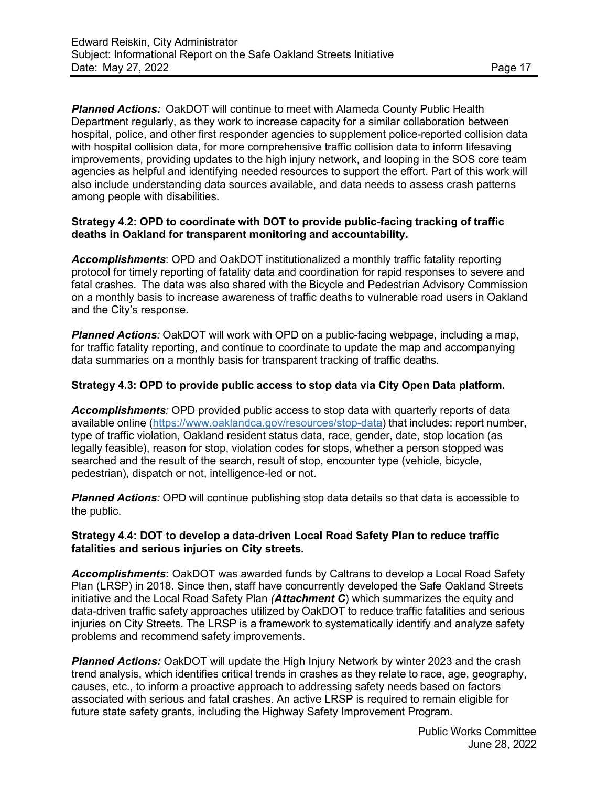*Planned Actions:* OakDOT will continue to meet with Alameda County Public Health Department regularly, as they work to increase capacity for a similar collaboration between hospital, police, and other first responder agencies to supplement police-reported collision data with hospital collision data, for more comprehensive traffic collision data to inform lifesaving improvements, providing updates to the high injury network, and looping in the SOS core team agencies as helpful and identifying needed resources to support the effort. Part of this work will also include understanding data sources available, and data needs to assess crash patterns among people with disabilities.

## **Strategy 4.2: OPD to coordinate with DOT to provide public-facing tracking of traffic deaths in Oakland for transparent monitoring and accountability.**

*Accomplishments*: OPD and OakDOT institutionalized a monthly traffic fatality reporting protocol for timely reporting of fatality data and coordination for rapid responses to severe and fatal crashes. The data was also shared with the Bicycle and Pedestrian Advisory Commission on a monthly basis to increase awareness of traffic deaths to vulnerable road users in Oakland and the City's response.

*Planned Actions:* OakDOT will work with OPD on a public-facing webpage, including a map, for traffic fatality reporting, and continue to coordinate to update the map and accompanying data summaries on a monthly basis for transparent tracking of traffic deaths.

## **Strategy 4.3: OPD to provide public access to stop data via City Open Data platform.**

*Accomplishments:* OPD provided public access to stop data with quarterly reports of data available online [\(https://www.oaklandca.gov/resources/stop-data\)](https://www.oaklandca.gov/resources/stop-data) that includes: report number, type of traffic violation, Oakland resident status data, race, gender, date, stop location (as legally feasible), reason for stop, violation codes for stops, whether a person stopped was searched and the result of the search, result of stop, encounter type (vehicle, bicycle, pedestrian), dispatch or not, intelligence-led or not.

*Planned Actions:* OPD will continue publishing stop data details so that data is accessible to the public.

## **Strategy 4.4: DOT to develop a data-driven Local Road Safety Plan to reduce traffic fatalities and serious injuries on City streets.**

*Accomplishments***:** OakDOT was awarded funds by Caltrans to develop a Local Road Safety Plan (LRSP) in 2018. Since then, staff have concurrently developed the Safe Oakland Streets initiative and the Local Road Safety Plan *(Attachment C*) which summarizes the equity and data-driven traffic safety approaches utilized by OakDOT to reduce traffic fatalities and serious injuries on City Streets. The LRSP is a framework to systematically identify and analyze safety problems and recommend safety improvements.

*Planned Actions:* OakDOT will update the High Injury Network by winter 2023 and the crash trend analysis, which identifies critical trends in crashes as they relate to race, age, geography, causes, etc., to inform a proactive approach to addressing safety needs based on factors associated with serious and fatal crashes. An active LRSP is required to remain eligible for future state safety grants, including the Highway Safety Improvement Program.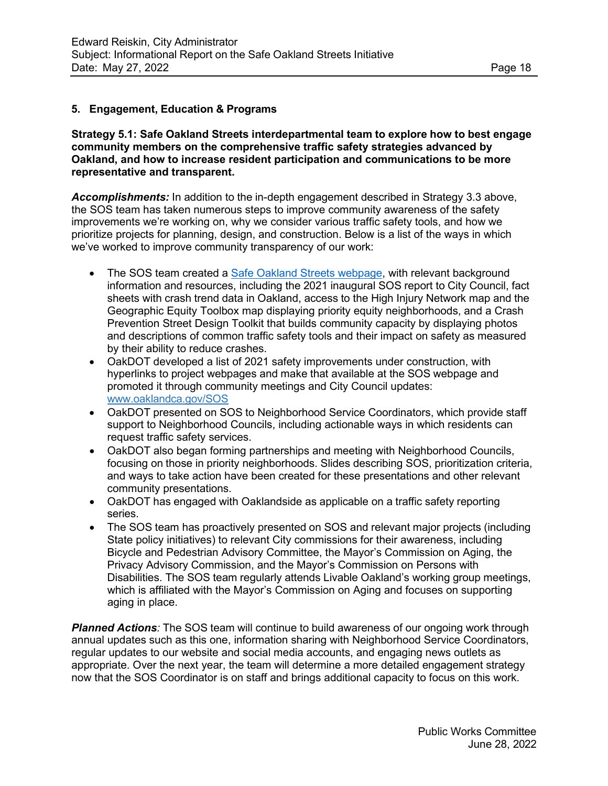## **5. Engagement, Education & Programs**

**Strategy 5.1: Safe Oakland Streets interdepartmental team to explore how to best engage community members on the comprehensive traffic safety strategies advanced by Oakland, and how to increase resident participation and communications to be more representative and transparent.**

*Accomplishments:* In addition to the in-depth engagement described in Strategy 3.3 above, the SOS team has taken numerous steps to improve community awareness of the safety improvements we're working on, why we consider various traffic safety tools, and how we prioritize projects for planning, design, and construction. Below is a list of the ways in which we've worked to improve community transparency of our work:

- The SOS team created a **Safe Oakland Streets webpage**, with relevant background information and resources, including the 2021 inaugural SOS report to City Council, fact sheets with crash trend data in Oakland, access to the High Injury Network map and the Geographic Equity Toolbox map displaying priority equity neighborhoods, and a Crash Prevention Street Design Toolkit that builds community capacity by displaying photos and descriptions of common traffic safety tools and their impact on safety as measured by their ability to reduce crashes.
- OakDOT developed a list of 2021 safety improvements under construction, with hyperlinks to project webpages and make that available at the SOS webpage and promoted it through community meetings and City Council updates: [www.oaklandca.gov/SOS](http://www.oaklandca.gov/SOS)
- OakDOT presented on SOS to Neighborhood Service Coordinators, which provide staff support to Neighborhood Councils, including actionable ways in which residents can request traffic safety services.
- OakDOT also began forming partnerships and meeting with Neighborhood Councils, focusing on those in priority neighborhoods. Slides describing SOS, prioritization criteria, and ways to take action have been created for these presentations and other relevant community presentations.
- OakDOT has engaged with Oaklandside as applicable on a traffic safety reporting series.
- The SOS team has proactively presented on SOS and relevant major projects (including State policy initiatives) to relevant City commissions for their awareness, including Bicycle and Pedestrian Advisory Committee, the Mayor's Commission on Aging, the Privacy Advisory Commission, and the Mayor's Commission on Persons with Disabilities. The SOS team regularly attends Livable Oakland's working group meetings, which is affiliated with the Mayor's Commission on Aging and focuses on supporting aging in place.

**Planned Actions**: The SOS team will continue to build awareness of our ongoing work through annual updates such as this one, information sharing with Neighborhood Service Coordinators, regular updates to our website and social media accounts, and engaging news outlets as appropriate. Over the next year, the team will determine a more detailed engagement strategy now that the SOS Coordinator is on staff and brings additional capacity to focus on this work.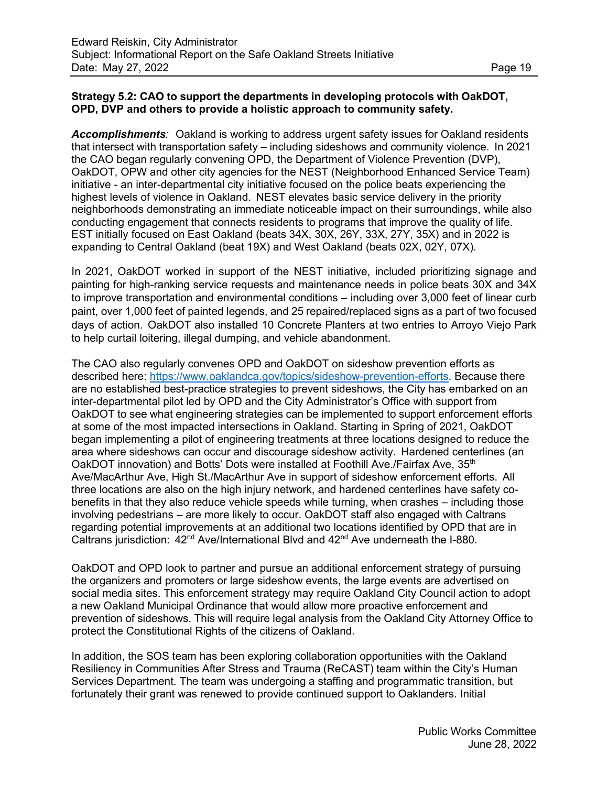## **Strategy 5.2: CAO to support the departments in developing protocols with OakDOT, OPD, DVP and others to provide a holistic approach to community safety.**

*Accomplishments:* Oakland is working to address urgent safety issues for Oakland residents that intersect with transportation safety – including sideshows and community violence. In 2021 the CAO began regularly convening OPD, the Department of Violence Prevention (DVP), OakDOT, OPW and other city agencies for the NEST (Neighborhood Enhanced Service Team) initiative - an inter-departmental city initiative focused on the police beats experiencing the highest levels of violence in Oakland. NEST elevates basic service delivery in the priority neighborhoods demonstrating an immediate noticeable impact on their surroundings, while also conducting engagement that connects residents to programs that improve the quality of life. EST initially focused on East Oakland (beats 34X, 30X, 26Y, 33X, 27Y, 35X) and in 2022 is expanding to Central Oakland (beat 19X) and West Oakland (beats 02X, 02Y, 07X).

In 2021, OakDOT worked in support of the NEST initiative, included prioritizing signage and painting for high-ranking service requests and maintenance needs in police beats 30X and 34X to improve transportation and environmental conditions – including over 3,000 feet of linear curb paint, over 1,000 feet of painted legends, and 25 repaired/replaced signs as a part of two focused days of action. OakDOT also installed 10 Concrete Planters at two entries to Arroyo Viejo Park to help curtail loitering, illegal dumping, and vehicle abandonment.

The CAO also regularly convenes OPD and OakDOT on sideshow prevention efforts as described here: [https://www.oaklandca.gov/topics/sideshow-prevention-efforts.](https://www.oaklandca.gov/topics/sideshow-prevention-effortsB) Because there are no established best-practice strategies to prevent sideshows, the City has embarked on an inter-departmental pilot led by OPD and the City Administrator's Office with support from OakDOT to see what engineering strategies can be implemented to support enforcement efforts at some of the most impacted intersections in Oakland. Starting in Spring of 2021, OakDOT began implementing a pilot of engineering treatments at three locations designed to reduce the area where sideshows can occur and discourage sideshow activity. Hardened centerlines (an OakDOT innovation) and Botts' Dots were installed at Foothill Ave./Fairfax Ave, 35<sup>th</sup> Ave/MacArthur Ave, High St./MacArthur Ave in support of sideshow enforcement efforts. All three locations are also on the high injury network, and hardened centerlines have safety cobenefits in that they also reduce vehicle speeds while turning, when crashes – including those involving pedestrians – are more likely to occur. OakDOT staff also engaged with Caltrans regarding potential improvements at an additional two locations identified by OPD that are in Caltrans jurisdiction:  $42^{nd}$  Ave/International Blvd and  $42^{nd}$  Ave underneath the I-880.

OakDOT and OPD look to partner and pursue an additional enforcement strategy of pursuing the organizers and promoters or large sideshow events, the large events are advertised on social media sites. This enforcement strategy may require Oakland City Council action to adopt a new Oakland Municipal Ordinance that would allow more proactive enforcement and prevention of sideshows. This will require legal analysis from the Oakland City Attorney Office to protect the Constitutional Rights of the citizens of Oakland.

In addition, the SOS team has been exploring collaboration opportunities with the Oakland Resiliency in Communities After Stress and Trauma (ReCAST) team within the City's Human Services Department. The team was undergoing a staffing and programmatic transition, but fortunately their grant was renewed to provide continued support to Oaklanders. Initial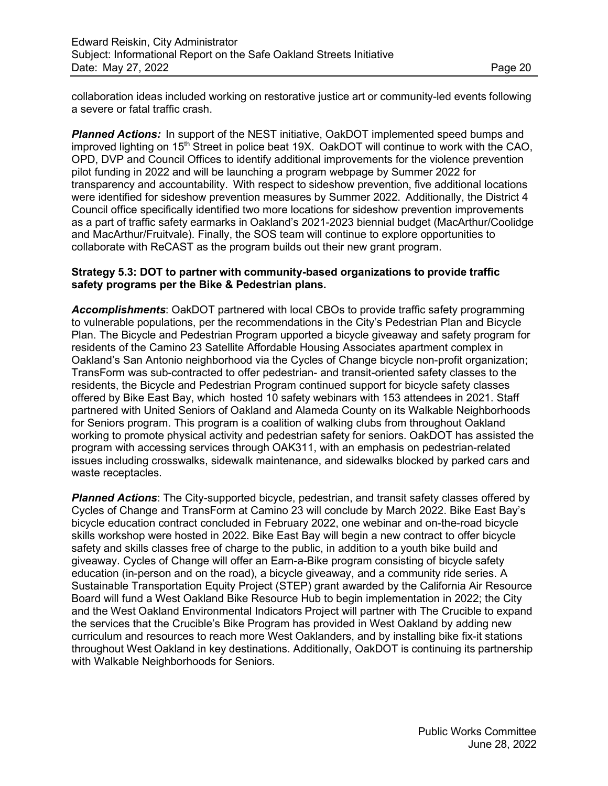collaboration ideas included working on restorative justice art or community-led events following a severe or fatal traffic crash.

**Planned Actions:** In support of the NEST initiative, OakDOT implemented speed bumps and improved lighting on  $15<sup>th</sup>$  Street in police beat 19X. OakDOT will continue to work with the CAO, OPD, DVP and Council Offices to identify additional improvements for the violence prevention pilot funding in 2022 and will be launching a program webpage by Summer 2022 for transparency and accountability. With respect to sideshow prevention, five additional locations were identified for sideshow prevention measures by Summer 2022. Additionally, the District 4 Council office specifically identified two more locations for sideshow prevention improvements as a part of traffic safety earmarks in Oakland's 2021-2023 biennial budget (MacArthur/Coolidge and MacArthur/Fruitvale). Finally, the SOS team will continue to explore opportunities to collaborate with ReCAST as the program builds out their new grant program.

## **Strategy 5.3: DOT to partner with community-based organizations to provide traffic safety programs per the Bike & Pedestrian plans.**

*Accomplishments*: OakDOT partnered with local CBOs to provide traffic safety programming to vulnerable populations, per the recommendations in the City's Pedestrian Plan and Bicycle Plan. The Bicycle and Pedestrian Program upported a bicycle giveaway and safety program for residents of the Camino 23 Satellite Affordable Housing Associates apartment complex in Oakland's San Antonio neighborhood via the Cycles of Change bicycle non-profit organization; TransForm was sub-contracted to offer pedestrian- and transit-oriented safety classes to the residents, the Bicycle and Pedestrian Program continued support for bicycle safety classes offered by Bike East Bay, which hosted 10 safety webinars with 153 attendees in 2021. Staff partnered with United Seniors of Oakland and Alameda County on its Walkable Neighborhoods for Seniors program. This program is a coalition of walking clubs from throughout Oakland working to promote physical activity and pedestrian safety for seniors. OakDOT has assisted the program with accessing services through OAK311, with an emphasis on pedestrian-related issues including crosswalks, sidewalk maintenance, and sidewalks blocked by parked cars and waste receptacles.

*Planned Actions*: The City-supported bicycle, pedestrian, and transit safety classes offered by Cycles of Change and TransForm at Camino 23 will conclude by March 2022. Bike East Bay's bicycle education contract concluded in February 2022, one webinar and on-the-road bicycle skills workshop were hosted in 2022. Bike East Bay will begin a new contract to offer bicycle safety and skills classes free of charge to the public, in addition to a youth bike build and giveaway. Cycles of Change will offer an Earn-a-Bike program consisting of bicycle safety education (in-person and on the road), a bicycle giveaway, and a community ride series. A Sustainable Transportation Equity Project (STEP) grant awarded by the California Air Resource Board will fund a West Oakland Bike Resource Hub to begin implementation in 2022; the City and the West Oakland Environmental Indicators Project will partner with The Crucible to expand the services that the Crucible's Bike Program has provided in West Oakland by adding new curriculum and resources to reach more West Oaklanders, and by installing bike fix-it stations throughout West Oakland in key destinations. Additionally, OakDOT is continuing its partnership with Walkable Neighborhoods for Seniors.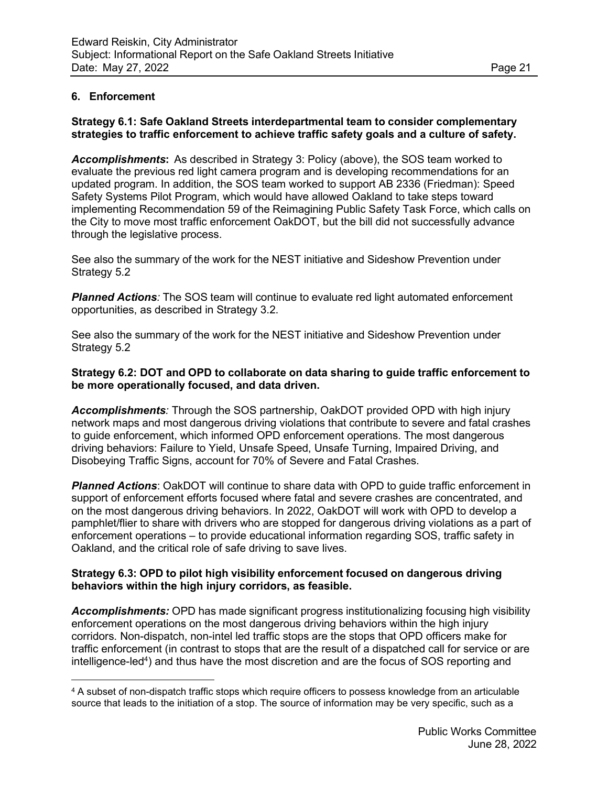## **6. Enforcement**

## **Strategy 6.1: Safe Oakland Streets interdepartmental team to consider complementary strategies to traffic enforcement to achieve traffic safety goals and a culture of safety.**

*Accomplishments***:** As described in Strategy 3: Policy (above), the SOS team worked to evaluate the previous red light camera program and is developing recommendations for an updated program. In addition, the SOS team worked to support AB 2336 (Friedman): Speed Safety Systems Pilot Program, which would have allowed Oakland to take steps toward implementing Recommendation 59 of the Reimagining Public Safety Task Force, which calls on the City to move most traffic enforcement OakDOT, but the bill did not successfully advance through the legislative process.

See also the summary of the work for the NEST initiative and Sideshow Prevention under Strategy 5.2

*Planned Actions:* The SOS team will continue to evaluate red light automated enforcement opportunities, as described in Strategy 3.2.

See also the summary of the work for the NEST initiative and Sideshow Prevention under Strategy 5.2

**Strategy 6.2: DOT and OPD to collaborate on data sharing to guide traffic enforcement to be more operationally focused, and data driven.**

*Accomplishments:* Through the SOS partnership, OakDOT provided OPD with high injury network maps and most dangerous driving violations that contribute to severe and fatal crashes to guide enforcement, which informed OPD enforcement operations. The most dangerous driving behaviors: Failure to Yield, Unsafe Speed, Unsafe Turning, Impaired Driving, and Disobeying Traffic Signs, account for 70% of Severe and Fatal Crashes.

**Planned Actions:** OakDOT will continue to share data with OPD to guide traffic enforcement in support of enforcement efforts focused where fatal and severe crashes are concentrated, and on the most dangerous driving behaviors. In 2022, OakDOT will work with OPD to develop a pamphlet/flier to share with drivers who are stopped for dangerous driving violations as a part of enforcement operations – to provide educational information regarding SOS, traffic safety in Oakland, and the critical role of safe driving to save lives.

#### **Strategy 6.3: OPD to pilot high visibility enforcement focused on dangerous driving behaviors within the high injury corridors, as feasible.**

*Accomplishments:* OPD has made significant progress institutionalizing focusing high visibility enforcement operations on the most dangerous driving behaviors within the high injury corridors. Non-dispatch, non-intel led traffic stops are the stops that OPD officers make for traffic enforcement (in contrast to stops that are the result of a dispatched call for service or are intelligence-led<sup>4</sup>) and thus have the most discretion and are the focus of SOS reporting and

<sup>4</sup> A subset of non-dispatch traffic stops which require officers to possess knowledge from an articulable source that leads to the initiation of a stop. The source of information may be very specific, such as a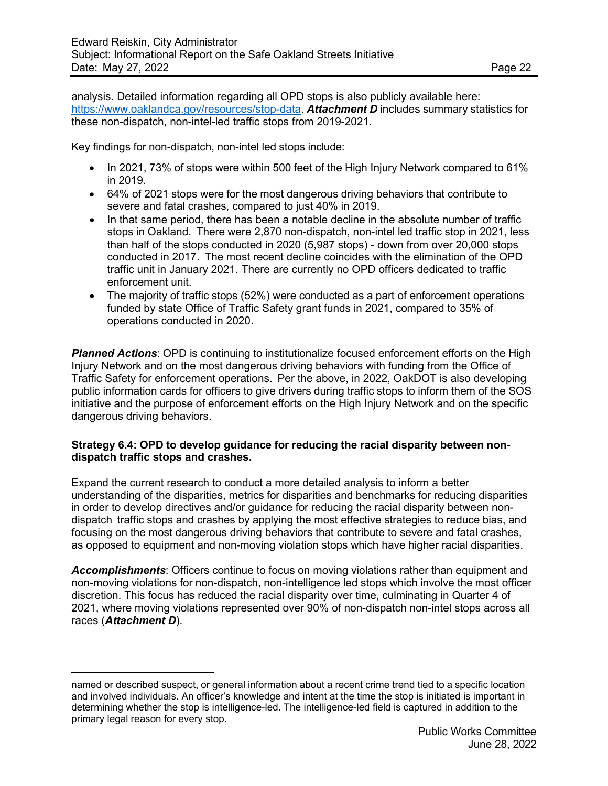analysis. Detailed information regarding all OPD stops is also publicly available here: [https://www.oaklandca.gov/resources/stop-data.](https://www.oaklandca.gov/resources/stop-data) *Attachment D* includes summary statistics for these non-dispatch, non-intel-led traffic stops from 2019-2021.

Key findings for non-dispatch, non-intel led stops include:

- In 2021, 73% of stops were within 500 feet of the High Injury Network compared to 61% in 2019.
- 64% of 2021 stops were for the most dangerous driving behaviors that contribute to severe and fatal crashes, compared to just 40% in 2019.
- In that same period, there has been a notable decline in the absolute number of traffic stops in Oakland. There were 2,870 non-dispatch, non-intel led traffic stop in 2021, less than half of the stops conducted in 2020 (5,987 stops) - down from over 20,000 stops conducted in 2017. The most recent decline coincides with the elimination of the OPD traffic unit in January 2021. There are currently no OPD officers dedicated to traffic enforcement unit.
- The majority of traffic stops (52%) were conducted as a part of enforcement operations funded by state Office of Traffic Safety grant funds in 2021, compared to 35% of operations conducted in 2020.

**Planned Actions**: OPD is continuing to institutionalize focused enforcement efforts on the High Injury Network and on the most dangerous driving behaviors with funding from the Office of Traffic Safety for enforcement operations. Per the above, in 2022, OakDOT is also developing public information cards for officers to give drivers during traffic stops to inform them of the SOS initiative and the purpose of enforcement efforts on the High Injury Network and on the specific dangerous driving behaviors.

#### **Strategy 6.4: OPD to develop guidance for reducing the racial disparity between nondispatch traffic stops and crashes.**

Expand the current research to conduct a more detailed analysis to inform a better understanding of the disparities, metrics for disparities and benchmarks for reducing disparities in order to develop directives and/or guidance for reducing the racial disparity between nondispatch traffic stops and crashes by applying the most effective strategies to reduce bias, and focusing on the most dangerous driving behaviors that contribute to severe and fatal crashes, as opposed to equipment and non-moving violation stops which have higher racial disparities.

*Accomplishments*: Officers continue to focus on moving violations rather than equipment and non-moving violations for non-dispatch, non-intelligence led stops which involve the most officer discretion. This focus has reduced the racial disparity over time, culminating in Quarter 4 of 2021, where moving violations represented over 90% of non-dispatch non-intel stops across all races (*Attachment D*).

named or described suspect, or general information about a recent crime trend tied to a specific location and involved individuals. An officer's knowledge and intent at the time the stop is initiated is important in determining whether the stop is intelligence-led. The intelligence-led field is captured in addition to the primary legal reason for every stop.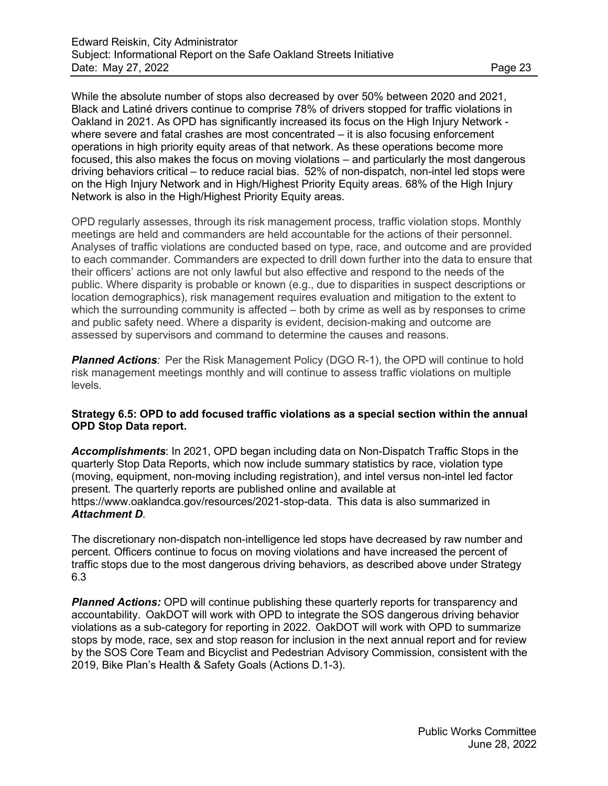While the absolute number of stops also decreased by over 50% between 2020 and 2021, Black and Latiné drivers continue to comprise 78% of drivers stopped for traffic violations in Oakland in 2021. As OPD has significantly increased its focus on the High Injury Network where severe and fatal crashes are most concentrated – it is also focusing enforcement operations in high priority equity areas of that network. As these operations become more focused, this also makes the focus on moving violations – and particularly the most dangerous driving behaviors critical – to reduce racial bias. 52% of non-dispatch, non-intel led stops were on the High Injury Network and in High/Highest Priority Equity areas. 68% of the High Injury Network is also in the High/Highest Priority Equity areas.

OPD regularly assesses, through its risk management process, traffic violation stops. Monthly meetings are held and commanders are held accountable for the actions of their personnel. Analyses of traffic violations are conducted based on type, race, and outcome and are provided to each commander. Commanders are expected to drill down further into the data to ensure that their officers' actions are not only lawful but also effective and respond to the needs of the public. Where disparity is probable or known (e.g., due to disparities in suspect descriptions or location demographics), risk management requires evaluation and mitigation to the extent to which the surrounding community is affected – both by crime as well as by responses to crime and public safety need. Where a disparity is evident, decision-making and outcome are assessed by supervisors and command to determine the causes and reasons.

**Planned Actions**: Per the Risk Management Policy (DGO R-1), the OPD will continue to hold risk management meetings monthly and will continue to assess traffic violations on multiple levels.

#### **Strategy 6.5: OPD to add focused traffic violations as a special section within the annual OPD Stop Data report.**

*Accomplishments*: In 2021, OPD began including data on Non-Dispatch Traffic Stops in the quarterly Stop Data Reports, which now include summary statistics by race, violation type (moving, equipment, non-moving including registration), and intel versus non-intel led factor present. The quarterly reports are published online and available at https:/[/www.oaklandca.gov/resources/2021-stop-data.](http://www.oaklandca.gov/resources/2021-stop-data) This data is also summarized in *Attachment D*.

The discretionary non-dispatch non-intelligence led stops have decreased by raw number and percent. Officers continue to focus on moving violations and have increased the percent of traffic stops due to the most dangerous driving behaviors, as described above under Strategy 6.3

**Planned Actions:** OPD will continue publishing these quarterly reports for transparency and accountability. OakDOT will work with OPD to integrate the SOS dangerous driving behavior violations as a sub-category for reporting in 2022. OakDOT will work with OPD to summarize stops by mode, race, sex and stop reason for inclusion in the next annual report and for review by the SOS Core Team and Bicyclist and Pedestrian Advisory Commission, consistent with the 2019, Bike Plan's Health & Safety Goals (Actions D.1-3).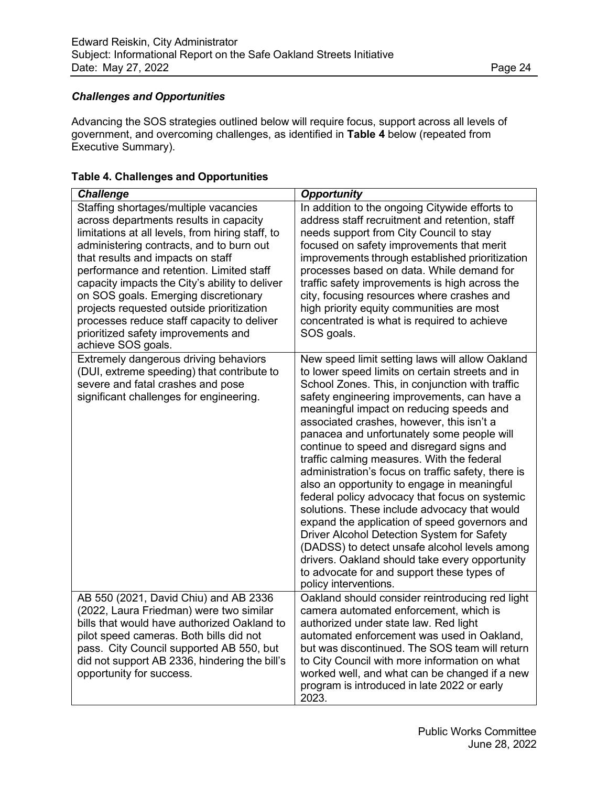# *Challenges and Opportunities*

Advancing the SOS strategies outlined below will require focus, support across all levels of government, and overcoming challenges, as identified in **Table 4** below (repeated from Executive Summary).

| <b>Challenge</b>                                                                                                                                                                                                                                                                                                                                                                                                                                                                                                   | <b>Opportunity</b>                                                                                                                                                                                                                                                                                                                                                                                                                                                                                                                                                                                                                                                                                                                                                                                                                                                                                                     |
|--------------------------------------------------------------------------------------------------------------------------------------------------------------------------------------------------------------------------------------------------------------------------------------------------------------------------------------------------------------------------------------------------------------------------------------------------------------------------------------------------------------------|------------------------------------------------------------------------------------------------------------------------------------------------------------------------------------------------------------------------------------------------------------------------------------------------------------------------------------------------------------------------------------------------------------------------------------------------------------------------------------------------------------------------------------------------------------------------------------------------------------------------------------------------------------------------------------------------------------------------------------------------------------------------------------------------------------------------------------------------------------------------------------------------------------------------|
| Staffing shortages/multiple vacancies<br>across departments results in capacity<br>limitations at all levels, from hiring staff, to<br>administering contracts, and to burn out<br>that results and impacts on staff<br>performance and retention. Limited staff<br>capacity impacts the City's ability to deliver<br>on SOS goals. Emerging discretionary<br>projects requested outside prioritization<br>processes reduce staff capacity to deliver<br>prioritized safety improvements and<br>achieve SOS goals. | In addition to the ongoing Citywide efforts to<br>address staff recruitment and retention, staff<br>needs support from City Council to stay<br>focused on safety improvements that merit<br>improvements through established prioritization<br>processes based on data. While demand for<br>traffic safety improvements is high across the<br>city, focusing resources where crashes and<br>high priority equity communities are most<br>concentrated is what is required to achieve<br>SOS goals.                                                                                                                                                                                                                                                                                                                                                                                                                     |
| Extremely dangerous driving behaviors<br>(DUI, extreme speeding) that contribute to<br>severe and fatal crashes and pose<br>significant challenges for engineering.                                                                                                                                                                                                                                                                                                                                                | New speed limit setting laws will allow Oakland<br>to lower speed limits on certain streets and in<br>School Zones. This, in conjunction with traffic<br>safety engineering improvements, can have a<br>meaningful impact on reducing speeds and<br>associated crashes, however, this isn't a<br>panacea and unfortunately some people will<br>continue to speed and disregard signs and<br>traffic calming measures. With the federal<br>administration's focus on traffic safety, there is<br>also an opportunity to engage in meaningful<br>federal policy advocacy that focus on systemic<br>solutions. These include advocacy that would<br>expand the application of speed governors and<br>Driver Alcohol Detection System for Safety<br>(DADSS) to detect unsafe alcohol levels among<br>drivers. Oakland should take every opportunity<br>to advocate for and support these types of<br>policy interventions. |
| AB 550 (2021, David Chiu) and AB 2336<br>(2022, Laura Friedman) were two similar<br>bills that would have authorized Oakland to<br>pilot speed cameras. Both bills did not<br>pass. City Council supported AB 550, but<br>did not support AB 2336, hindering the bill's<br>opportunity for success.                                                                                                                                                                                                                | Oakland should consider reintroducing red light<br>camera automated enforcement, which is<br>authorized under state law. Red light<br>automated enforcement was used in Oakland,<br>but was discontinued. The SOS team will return<br>to City Council with more information on what<br>worked well, and what can be changed if a new<br>program is introduced in late 2022 or early<br>2023.                                                                                                                                                                                                                                                                                                                                                                                                                                                                                                                           |

## **Table 4. Challenges and Opportunities**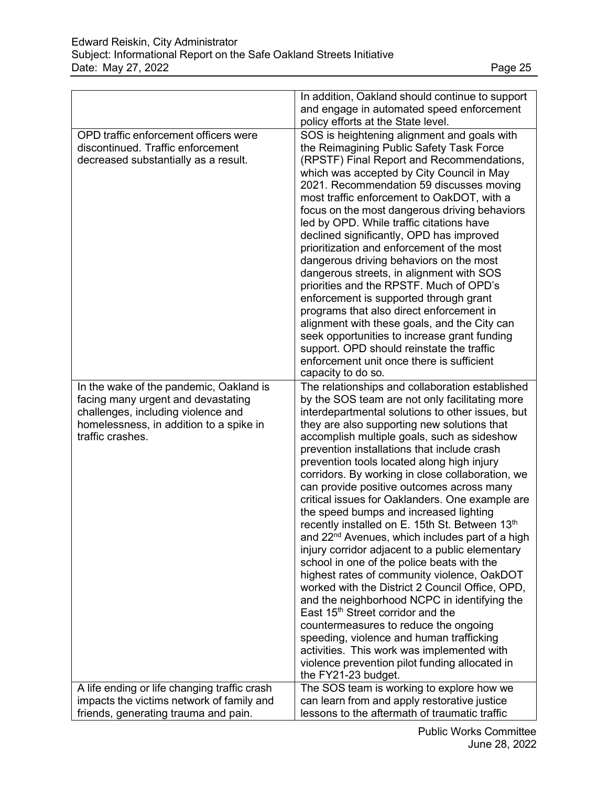|                                                                                                                                                                                    | In addition, Oakland should continue to support                                                                                                                                                                                                                                                                                                                                                                                                                                                                                                                                                                                                                                                                                                                                                                                                                                                                                                                                                                                                                                                                                                                                 |
|------------------------------------------------------------------------------------------------------------------------------------------------------------------------------------|---------------------------------------------------------------------------------------------------------------------------------------------------------------------------------------------------------------------------------------------------------------------------------------------------------------------------------------------------------------------------------------------------------------------------------------------------------------------------------------------------------------------------------------------------------------------------------------------------------------------------------------------------------------------------------------------------------------------------------------------------------------------------------------------------------------------------------------------------------------------------------------------------------------------------------------------------------------------------------------------------------------------------------------------------------------------------------------------------------------------------------------------------------------------------------|
|                                                                                                                                                                                    | and engage in automated speed enforcement                                                                                                                                                                                                                                                                                                                                                                                                                                                                                                                                                                                                                                                                                                                                                                                                                                                                                                                                                                                                                                                                                                                                       |
|                                                                                                                                                                                    | policy efforts at the State level.                                                                                                                                                                                                                                                                                                                                                                                                                                                                                                                                                                                                                                                                                                                                                                                                                                                                                                                                                                                                                                                                                                                                              |
| OPD traffic enforcement officers were<br>discontinued. Traffic enforcement<br>decreased substantially as a result.                                                                 | SOS is heightening alignment and goals with<br>the Reimagining Public Safety Task Force<br>(RPSTF) Final Report and Recommendations,<br>which was accepted by City Council in May<br>2021. Recommendation 59 discusses moving<br>most traffic enforcement to OakDOT, with a<br>focus on the most dangerous driving behaviors<br>led by OPD. While traffic citations have<br>declined significantly, OPD has improved<br>prioritization and enforcement of the most<br>dangerous driving behaviors on the most<br>dangerous streets, in alignment with SOS<br>priorities and the RPSTF. Much of OPD's<br>enforcement is supported through grant<br>programs that also direct enforcement in<br>alignment with these goals, and the City can<br>seek opportunities to increase grant funding<br>support. OPD should reinstate the traffic<br>enforcement unit once there is sufficient                                                                                                                                                                                                                                                                                            |
|                                                                                                                                                                                    | capacity to do so.                                                                                                                                                                                                                                                                                                                                                                                                                                                                                                                                                                                                                                                                                                                                                                                                                                                                                                                                                                                                                                                                                                                                                              |
| In the wake of the pandemic, Oakland is<br>facing many urgent and devastating<br>challenges, including violence and<br>homelessness, in addition to a spike in<br>traffic crashes. | The relationships and collaboration established<br>by the SOS team are not only facilitating more<br>interdepartmental solutions to other issues, but<br>they are also supporting new solutions that<br>accomplish multiple goals, such as sideshow<br>prevention installations that include crash<br>prevention tools located along high injury<br>corridors. By working in close collaboration, we<br>can provide positive outcomes across many<br>critical issues for Oaklanders. One example are<br>the speed bumps and increased lighting<br>recently installed on E. 15th St. Between 13th<br>and 22 <sup>nd</sup> Avenues, which includes part of a high<br>injury corridor adjacent to a public elementary<br>school in one of the police beats with the<br>highest rates of community violence, OakDOT<br>worked with the District 2 Council Office, OPD,<br>and the neighborhood NCPC in identifying the<br>East 15 <sup>th</sup> Street corridor and the<br>countermeasures to reduce the ongoing<br>speeding, violence and human trafficking<br>activities. This work was implemented with<br>violence prevention pilot funding allocated in<br>the FY21-23 budget. |
| A life ending or life changing traffic crash                                                                                                                                       | The SOS team is working to explore how we                                                                                                                                                                                                                                                                                                                                                                                                                                                                                                                                                                                                                                                                                                                                                                                                                                                                                                                                                                                                                                                                                                                                       |
| impacts the victims network of family and<br>friends, generating trauma and pain.                                                                                                  | can learn from and apply restorative justice<br>lessons to the aftermath of traumatic traffic                                                                                                                                                                                                                                                                                                                                                                                                                                                                                                                                                                                                                                                                                                                                                                                                                                                                                                                                                                                                                                                                                   |
|                                                                                                                                                                                    |                                                                                                                                                                                                                                                                                                                                                                                                                                                                                                                                                                                                                                                                                                                                                                                                                                                                                                                                                                                                                                                                                                                                                                                 |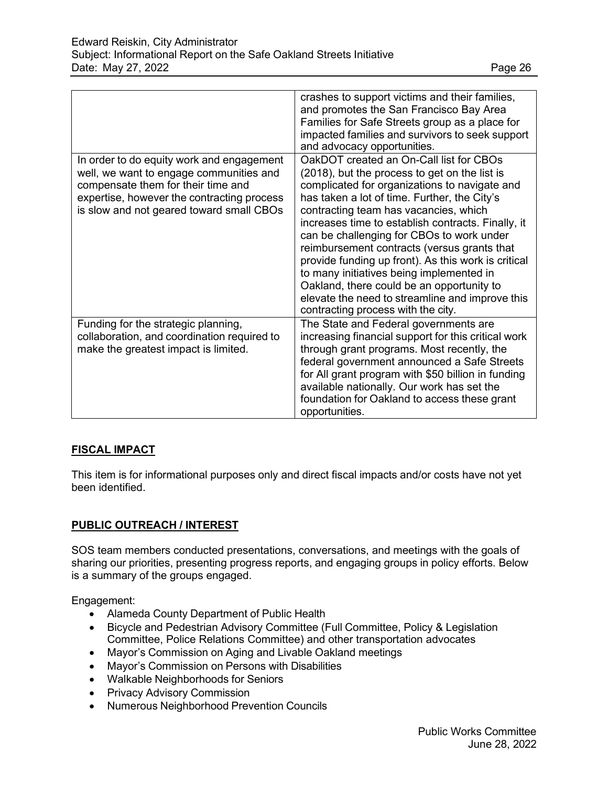|                                                                                                                                                                                                                      | crashes to support victims and their families,<br>and promotes the San Francisco Bay Area<br>Families for Safe Streets group as a place for<br>impacted families and survivors to seek support<br>and advocacy opportunities.                                                                                                                                                                                                                                                                                                                                                                                                 |
|----------------------------------------------------------------------------------------------------------------------------------------------------------------------------------------------------------------------|-------------------------------------------------------------------------------------------------------------------------------------------------------------------------------------------------------------------------------------------------------------------------------------------------------------------------------------------------------------------------------------------------------------------------------------------------------------------------------------------------------------------------------------------------------------------------------------------------------------------------------|
| In order to do equity work and engagement<br>well, we want to engage communities and<br>compensate them for their time and<br>expertise, however the contracting process<br>is slow and not geared toward small CBOs | OakDOT created an On-Call list for CBOs<br>(2018), but the process to get on the list is<br>complicated for organizations to navigate and<br>has taken a lot of time. Further, the City's<br>contracting team has vacancies, which<br>increases time to establish contracts. Finally, it<br>can be challenging for CBOs to work under<br>reimbursement contracts (versus grants that<br>provide funding up front). As this work is critical<br>to many initiatives being implemented in<br>Oakland, there could be an opportunity to<br>elevate the need to streamline and improve this<br>contracting process with the city. |
| Funding for the strategic planning,<br>collaboration, and coordination required to<br>make the greatest impact is limited.                                                                                           | The State and Federal governments are<br>increasing financial support for this critical work<br>through grant programs. Most recently, the<br>federal government announced a Safe Streets<br>for All grant program with \$50 billion in funding<br>available nationally. Our work has set the<br>foundation for Oakland to access these grant<br>opportunities.                                                                                                                                                                                                                                                               |

# **FISCAL IMPACT**

This item is for informational purposes only and direct fiscal impacts and/or costs have not yet been identified.

## **PUBLIC OUTREACH / INTEREST**

SOS team members conducted presentations, conversations, and meetings with the goals of sharing our priorities, presenting progress reports, and engaging groups in policy efforts. Below is a summary of the groups engaged.

Engagement:

- Alameda County Department of Public Health
- Bicycle and Pedestrian Advisory Committee (Full Committee, Policy & Legislation Committee, Police Relations Committee) and other transportation advocates
- Mayor's Commission on Aging and Livable Oakland meetings
- Mayor's Commission on Persons with Disabilities
- Walkable Neighborhoods for Seniors
- Privacy Advisory Commission
- Numerous Neighborhood Prevention Councils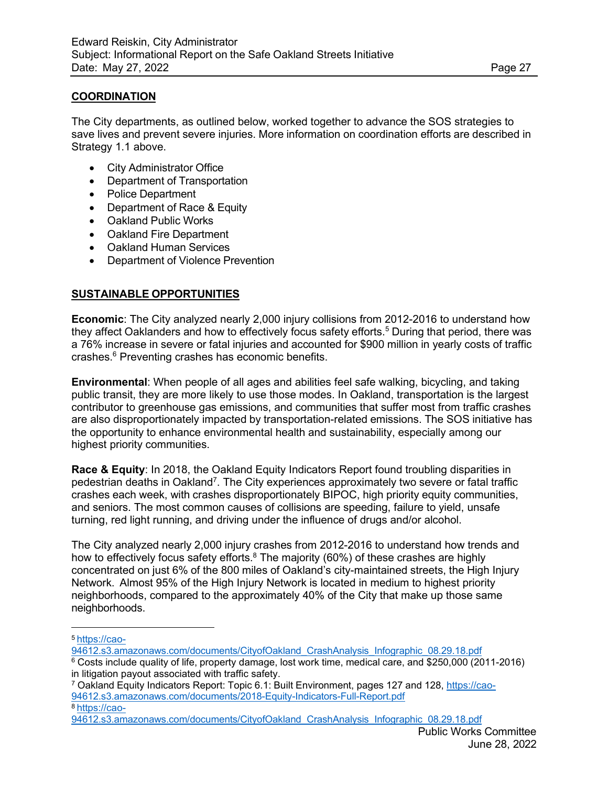## **COORDINATION**

The City departments, as outlined below, worked together to advance the SOS strategies to save lives and prevent severe injuries. More information on coordination efforts are described in Strategy 1.1 above.

- City Administrator Office
- Department of Transportation
- Police Department
- Department of Race & Equity
- Oakland Public Works
- Oakland Fire Department
- Oakland Human Services
- Department of Violence Prevention

## **SUSTAINABLE OPPORTUNITIES**

**Economic**: The City analyzed nearly 2,000 injury collisions from 2012-2016 to understand how they affect Oaklanders and how to effectively focus safety efforts.<sup>5</sup> During that period, there was a 76% increase in severe or fatal injuries and accounted for \$900 million in yearly costs of traffic crashes.6 Preventing crashes has economic benefits.

**Environmental**: When people of all ages and abilities feel safe walking, bicycling, and taking public transit, they are more likely to use those modes. In Oakland, transportation is the largest contributor to greenhouse gas emissions, and communities that suffer most from traffic crashes are also disproportionately impacted by transportation-related emissions. The SOS initiative has the opportunity to enhance environmental health and sustainability, especially among our highest priority communities.

**Race & Equity**: In 2018, the Oakland Equity Indicators Report found troubling disparities in pedestrian deaths in Oakland<sup>7</sup>. The City experiences approximately two severe or fatal traffic crashes each week, with crashes disproportionately BIPOC, high priority equity communities, and seniors. The most common causes of collisions are speeding, failure to yield, unsafe turning, red light running, and driving under the influence of drugs and/or alcohol.

The City analyzed nearly 2,000 injury crashes from 2012-2016 to understand how trends and how to effectively focus safety efforts.<sup>8</sup> The majority (60%) of these crashes are highly concentrated on just 6% of the 800 miles of Oakland's city-maintained streets, the High Injury Network. Almost 95% of the High Injury Network is located in medium to highest priority neighborhoods, compared to the approximately 40% of the City that make up those same neighborhoods.

7 Oakland Equity Indicators Report: Topic 6.1: Built Environment, pages 127 and 128, [https://cao-](https://cao-94612.s3.amazonaws.com/documents/2018-Equity-Indicators-Full-Report.pdf)[94612.s3.amazonaws.com/documents/2018-Equity-Indicators-Full-Report.pdf](https://cao-94612.s3.amazonaws.com/documents/2018-Equity-Indicators-Full-Report.pdf) [8 https://cao-](https://cao-94612.s3.amazonaws.com/documents/CityofOakland_CrashAnalysis_Infographic_08.29.18.pdf)

[<sup>5</sup> https://cao-](https://cao-94612.s3.amazonaws.com/documents/CityofOakland_CrashAnalysis_Infographic_08.29.18.pdf)

[<sup>94612.</sup>s3.amazonaws.com/documents/CityofOakland\\_CrashAnalysis\\_Infographic\\_08.29.18.pdf](https://cao-94612.s3.amazonaws.com/documents/CityofOakland_CrashAnalysis_Infographic_08.29.18.pdf)

 $6$  Costs include quality of life, property damage, lost work time, medical care, and \$250,000 (2011-2016) in litigation payout associated with traffic safety.

[<sup>94612.</sup>s3.amazonaws.com/documents/CityofOakland\\_CrashAnalysis\\_Infographic\\_08.29.18.pdf](https://cao-94612.s3.amazonaws.com/documents/CityofOakland_CrashAnalysis_Infographic_08.29.18.pdf)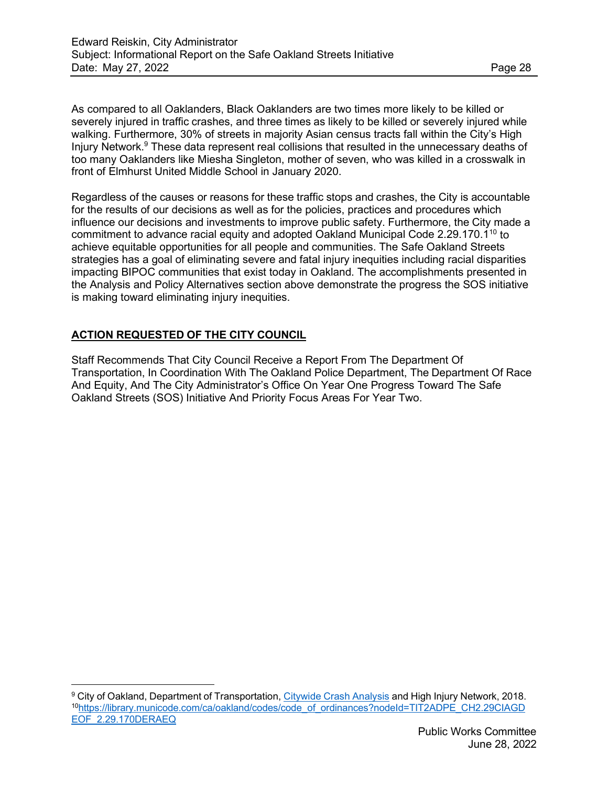As compared to all Oaklanders, Black Oaklanders are two times more likely to be killed or severely injured in traffic crashes, and three times as likely to be killed or severely injured while walking. Furthermore, 30% of streets in majority Asian census tracts fall within the City's High Injury Network.<sup>9</sup> These data represent real collisions that resulted in the unnecessary deaths of too many Oaklanders like Miesha Singleton, mother of seven, who was killed in a crosswalk in front of Elmhurst United Middle School in January 2020.

Regardless of the causes or reasons for these traffic stops and crashes, the City is accountable for the results of our decisions as well as for the policies, practices and procedures which influence our decisions and investments to improve public safety. Furthermore, the City made a commitment to advance racial equity and adopted Oakland Municipal Code 2.29.170.1<sup>10</sup> to achieve equitable opportunities for all people and communities. The Safe Oakland Streets strategies has a goal of eliminating severe and fatal injury inequities including racial disparities impacting BIPOC communities that exist today in Oakland. The accomplishments presented in the Analysis and Policy Alternatives section above demonstrate the progress the SOS initiative is making toward eliminating injury inequities.

# **ACTION REQUESTED OF THE CITY COUNCIL**

Staff Recommends That City Council Receive a Report From The Department Of Transportation, In Coordination With The Oakland Police Department, The Department Of Race And Equity, And The City Administrator's Office On Year One Progress Toward The Safe Oakland Streets (SOS) Initiative And Priority Focus Areas For Year Two.

<sup>9</sup> City of Oakland, Department of Transportation, [Citywide](https://cao-94612.s3.amazonaws.com/documents/CityofOakland_CrashAnalysis_Infographic_08.29.18.pdf) Crash Analysis and High Injury Network, 2018. 1[0https://library.municode.com/ca/oakland/codes/code\\_of\\_ordinances?nodeId=TIT2ADPE\\_CH2.29CIAGD](https://library.municode.com/ca/oakland/codes/code_of_ordinances?nodeId=TIT2ADPE_CH2.29CIAGDEOF_2.29.170DERAEQ) [EOF\\_2.29.170DERAEQ](https://library.municode.com/ca/oakland/codes/code_of_ordinances?nodeId=TIT2ADPE_CH2.29CIAGDEOF_2.29.170DERAEQ)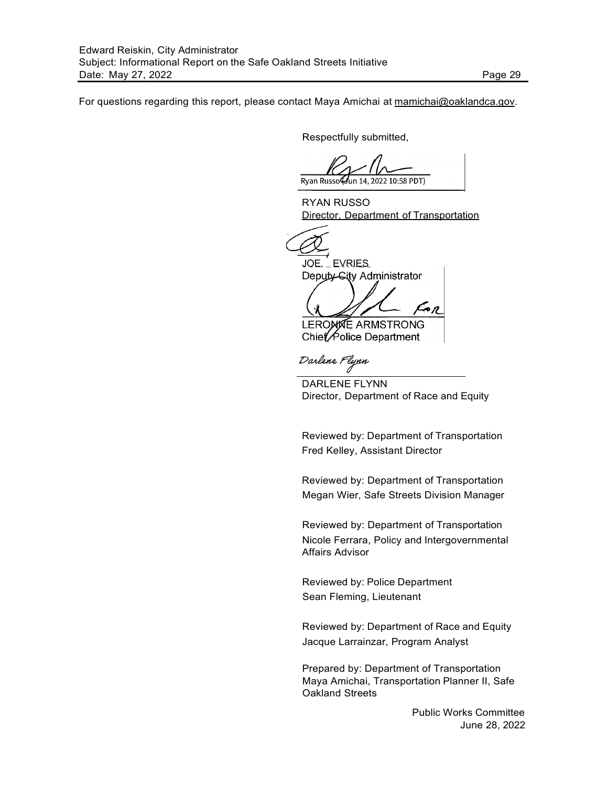For questions regarding this report, please contact Maya Amichai at [mamichai@oaklandca.gov.](mailto:mamichai@oaklandca.gov)

Respectfully submitted,

Ryan Russo un 14. 2022 10:58 PDT)

RYAN RUSSO Director, Department of Transportation

JOE. EVRIES Deputy-City Administrator

ĀЛ **LEROMNE ARMSTRONG** Chief Police Department

Darlens Flynn

DARLENE FLYNN Director, Department of Race and Equity

Reviewed by: Department of Transportation Fred Kelley, Assistant Director

Reviewed by: Department of Transportation Megan Wier, Safe Streets Division Manager

Reviewed by: Department of Transportation Nicole Ferrara, Policy and Intergovernmental Affairs Advisor

Reviewed by: Police Department Sean Fleming, Lieutenant

Reviewed by: Department of Race and Equity Jacque Larrainzar, Program Analyst

Prepared by: Department of Transportation Maya Amichai, Transportation Planner II, Safe Oakland Streets

> Public Works Committee June 28, 2022